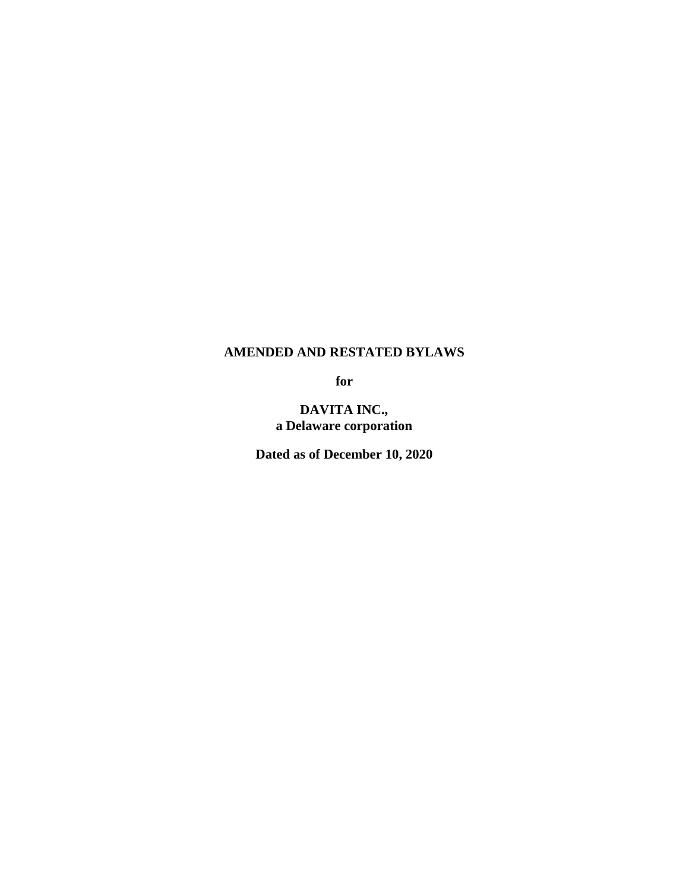# **AMENDED AND RESTATED BYLAWS**

**for**

**DAVITA INC., a Delaware corporation**

**Dated as of December 10, 2020**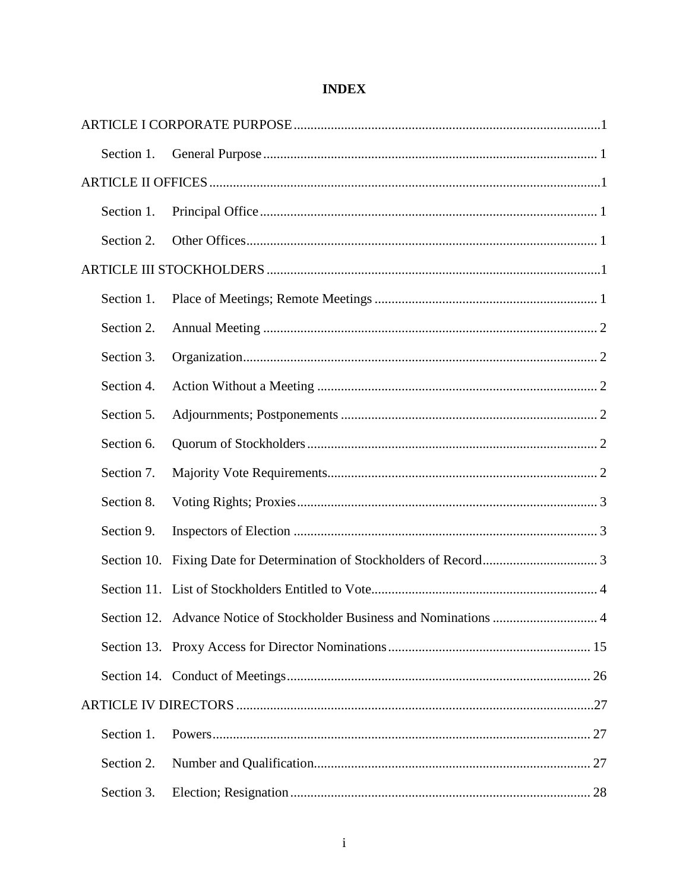| Section 1.  |                                                                           |  |  |
|-------------|---------------------------------------------------------------------------|--|--|
|             |                                                                           |  |  |
| Section 1.  |                                                                           |  |  |
| Section 2.  |                                                                           |  |  |
|             |                                                                           |  |  |
| Section 1.  |                                                                           |  |  |
| Section 2.  |                                                                           |  |  |
| Section 3.  |                                                                           |  |  |
| Section 4.  |                                                                           |  |  |
| Section 5.  |                                                                           |  |  |
| Section 6.  |                                                                           |  |  |
| Section 7.  |                                                                           |  |  |
| Section 8.  |                                                                           |  |  |
| Section 9.  |                                                                           |  |  |
| Section 10. |                                                                           |  |  |
|             |                                                                           |  |  |
|             | Section 12. Advance Notice of Stockholder Business and Nominations<br>. 4 |  |  |
|             |                                                                           |  |  |
|             |                                                                           |  |  |
|             |                                                                           |  |  |
| Section 1.  |                                                                           |  |  |
| Section 2.  |                                                                           |  |  |
| Section 3.  |                                                                           |  |  |

# **INDEX**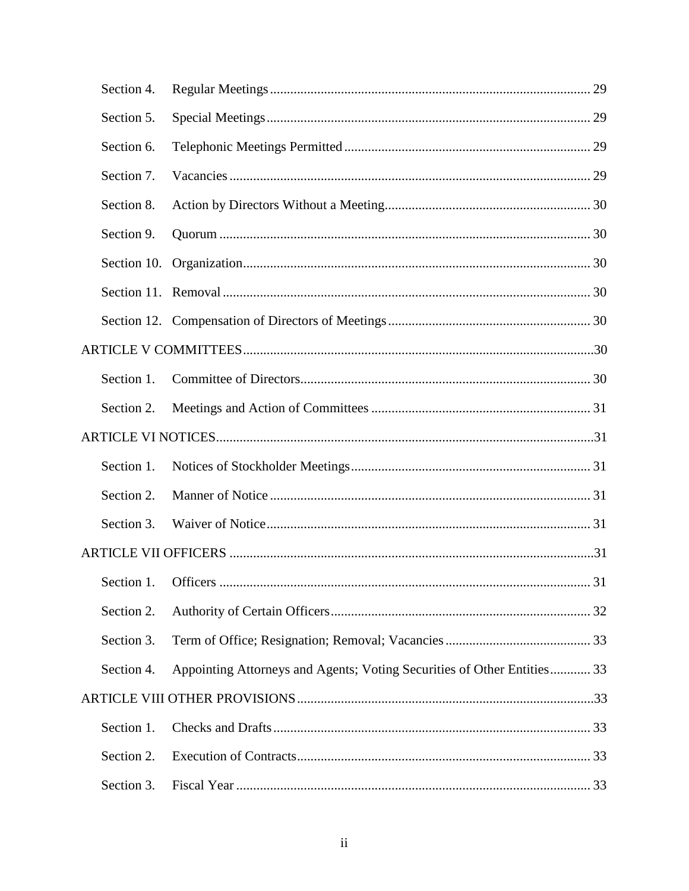|  | Section 4.  |                                                                         |    |  |  |
|--|-------------|-------------------------------------------------------------------------|----|--|--|
|  | Section 5.  |                                                                         |    |  |  |
|  | Section 6.  |                                                                         |    |  |  |
|  | Section 7.  |                                                                         |    |  |  |
|  | Section 8.  |                                                                         |    |  |  |
|  | Section 9.  |                                                                         |    |  |  |
|  | Section 10. |                                                                         |    |  |  |
|  |             |                                                                         |    |  |  |
|  |             |                                                                         |    |  |  |
|  |             |                                                                         |    |  |  |
|  | Section 1.  |                                                                         |    |  |  |
|  | Section 2.  |                                                                         |    |  |  |
|  |             |                                                                         |    |  |  |
|  | Section 1.  |                                                                         |    |  |  |
|  | Section 2.  |                                                                         |    |  |  |
|  | Section 3.  |                                                                         |    |  |  |
|  |             |                                                                         |    |  |  |
|  |             |                                                                         | 31 |  |  |
|  | Section 2.  |                                                                         |    |  |  |
|  | Section 3.  |                                                                         |    |  |  |
|  | Section 4.  | Appointing Attorneys and Agents; Voting Securities of Other Entities 33 |    |  |  |
|  |             |                                                                         |    |  |  |
|  | Section 1.  |                                                                         |    |  |  |
|  | Section 2.  |                                                                         |    |  |  |
|  | Section 3.  |                                                                         |    |  |  |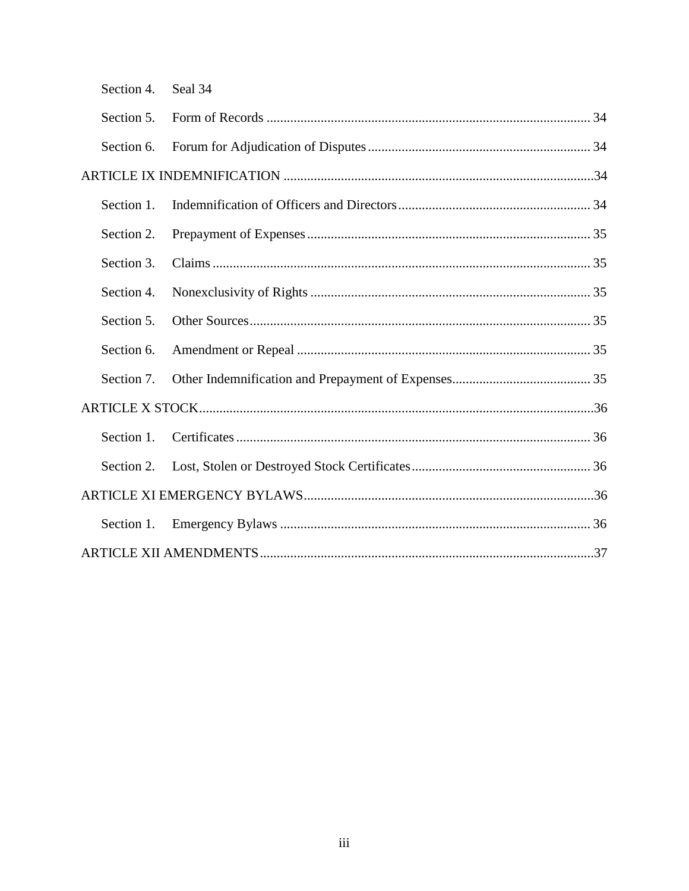| Section 4. Seal 34 |  |  |  |  |
|--------------------|--|--|--|--|
| Section 5.         |  |  |  |  |
| Section 6.         |  |  |  |  |
|                    |  |  |  |  |
| Section 1.         |  |  |  |  |
| Section 2.         |  |  |  |  |
| Section 3.         |  |  |  |  |
| Section 4.         |  |  |  |  |
| Section 5.         |  |  |  |  |
| Section 6.         |  |  |  |  |
| Section 7.         |  |  |  |  |
|                    |  |  |  |  |
| Section 1.         |  |  |  |  |
| Section 2.         |  |  |  |  |
|                    |  |  |  |  |
| Section 1.         |  |  |  |  |
|                    |  |  |  |  |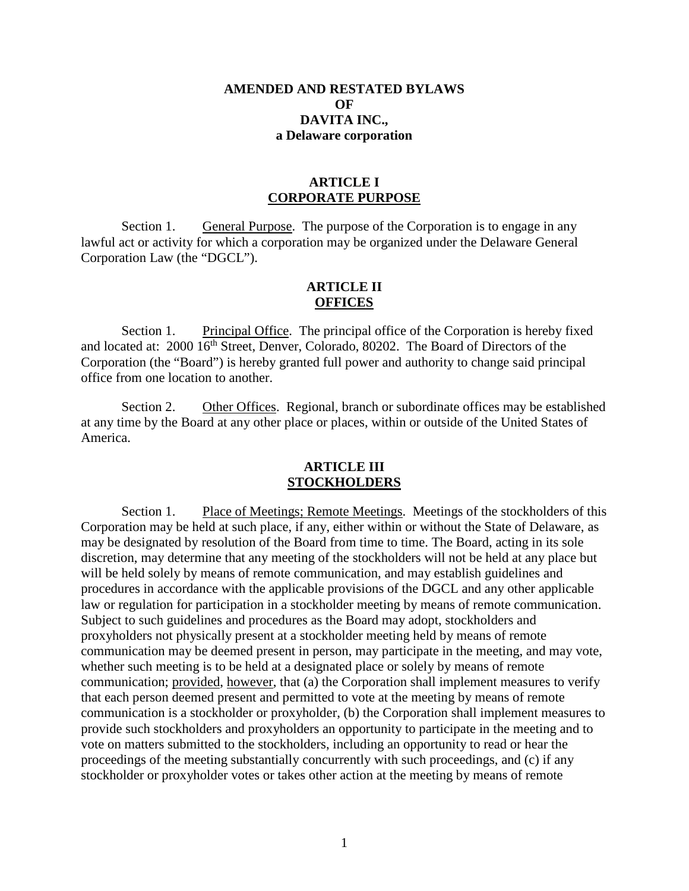#### **AMENDED AND RESTATED BYLAWS**   $\Omega$ **F DAVITA INC., a Delaware corporation**

### **ARTICLE I CORPORATE PURPOSE**

<span id="page-4-1"></span><span id="page-4-0"></span>Section 1. General Purpose. The purpose of the Corporation is to engage in any lawful act or activity for which a corporation may be organized under the Delaware General Corporation Law (the "DGCL").

### **ARTICLE II OFFICES**

<span id="page-4-8"></span><span id="page-4-3"></span><span id="page-4-2"></span>Section 1. Principal Office. The principal office of the Corporation is hereby fixed and located at: 2000 16<sup>th</sup> Street, Denver, Colorado, 80202. The Board of Directors of the Corporation (the "Board") is hereby granted full power and authority to change said principal office from one location to another.

<span id="page-4-4"></span>Section 2. Other Offices. Regional, branch or subordinate offices may be established at any time by the Board at any other place or places, within or outside of the United States of America.

#### **ARTICLE III STOCKHOLDERS**

<span id="page-4-7"></span><span id="page-4-6"></span><span id="page-4-5"></span>Section 1. Place of Meetings; Remote Meetings. Meetings of the stockholders of this Corporation may be held at such place, if any, either within or without the State of Delaware, as may be designated by resolution of the Board from time to time. The Board, acting in its sole discretion, may determine that any meeting of the stockholders will not be held at any place but will be held solely by means of remote communication, and may establish guidelines and procedures in accordance with the applicable provisions of the DGCL and any other applicable law or regulation for participation in a stockholder meeting by means of remote communication. Subject to such guidelines and procedures as the Board may adopt, stockholders and proxyholders not physically present at a stockholder meeting held by means of remote communication may be deemed present in person, may participate in the meeting, and may vote, whether such meeting is to be held at a designated place or solely by means of remote communication; provided, however, that (a) the Corporation shall implement measures to verify that each person deemed present and permitted to vote at the meeting by means of remote communication is a stockholder or proxyholder, (b) the Corporation shall implement measures to provide such stockholders and proxyholders an opportunity to participate in the meeting and to vote on matters submitted to the stockholders, including an opportunity to read or hear the proceedings of the meeting substantially concurrently with such proceedings, and (c) if any stockholder or proxyholder votes or takes other action at the meeting by means of remote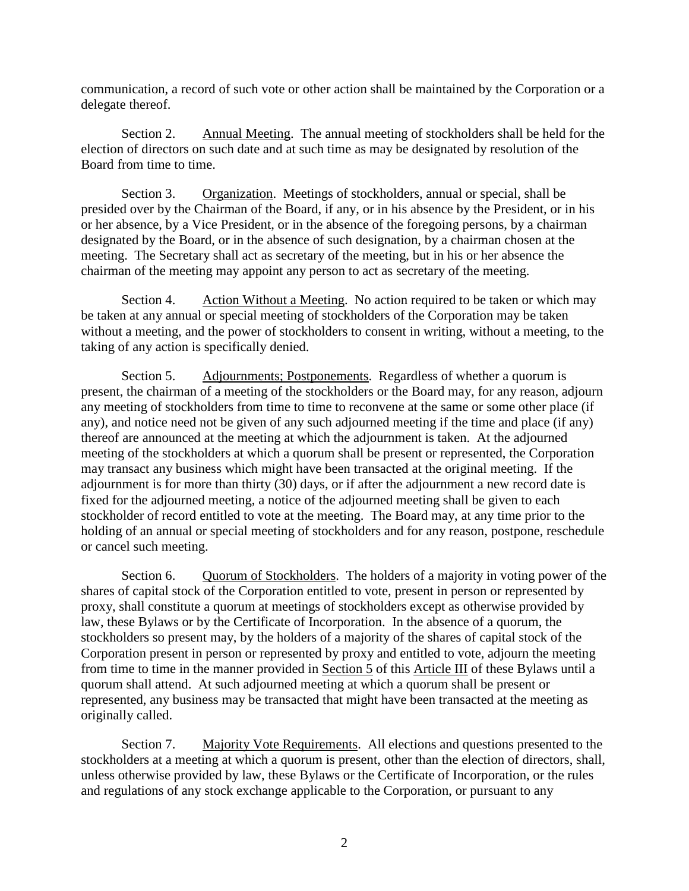communication, a record of such vote or other action shall be maintained by the Corporation or a delegate thereof.

<span id="page-5-0"></span>Section 2. Annual Meeting. The annual meeting of stockholders shall be held for the election of directors on such date and at such time as may be designated by resolution of the Board from time to time.

<span id="page-5-1"></span>Section 3. Organization. Meetings of stockholders, annual or special, shall be presided over by the Chairman of the Board, if any, or in his absence by the President, or in his or her absence, by a Vice President, or in the absence of the foregoing persons, by a chairman designated by the Board, or in the absence of such designation, by a chairman chosen at the meeting. The Secretary shall act as secretary of the meeting, but in his or her absence the chairman of the meeting may appoint any person to act as secretary of the meeting.

<span id="page-5-2"></span>Section 4. Action Without a Meeting. No action required to be taken or which may be taken at any annual or special meeting of stockholders of the Corporation may be taken without a meeting, and the power of stockholders to consent in writing, without a meeting, to the taking of any action is specifically denied.

<span id="page-5-3"></span>Section 5. Adjournments; Postponements. Regardless of whether a quorum is present, the chairman of a meeting of the stockholders or the Board may, for any reason, adjourn any meeting of stockholders from time to time to reconvene at the same or some other place (if any), and notice need not be given of any such adjourned meeting if the time and place (if any) thereof are announced at the meeting at which the adjournment is taken. At the adjourned meeting of the stockholders at which a quorum shall be present or represented, the Corporation may transact any business which might have been transacted at the original meeting. If the adjournment is for more than thirty (30) days, or if after the adjournment a new record date is fixed for the adjourned meeting, a notice of the adjourned meeting shall be given to each stockholder of record entitled to vote at the meeting. The Board may, at any time prior to the holding of an annual or special meeting of stockholders and for any reason, postpone, reschedule or cancel such meeting.

<span id="page-5-4"></span>Section 6. Quorum of Stockholders. The holders of a majority in voting power of the shares of capital stock of the Corporation entitled to vote, present in person or represented by proxy, shall constitute a quorum at meetings of stockholders except as otherwise provided by law, these Bylaws or by the Certificate of Incorporation. In the absence of a quorum, the stockholders so present may, by the holders of a majority of the shares of capital stock of the Corporation present in person or represented by proxy and entitled to vote, adjourn the meeting from time to time in the manner provided in [Section 5](#page-5-3) of this [Article III](#page-4-7) of these Bylaws until a quorum shall attend. At such adjourned meeting at which a quorum shall be present or represented, any business may be transacted that might have been transacted at the meeting as originally called.

<span id="page-5-5"></span>Section 7. Majority Vote Requirements. All elections and questions presented to the stockholders at a meeting at which a quorum is present, other than the election of directors, shall, unless otherwise provided by law, these Bylaws or the Certificate of Incorporation, or the rules and regulations of any stock exchange applicable to the Corporation, or pursuant to any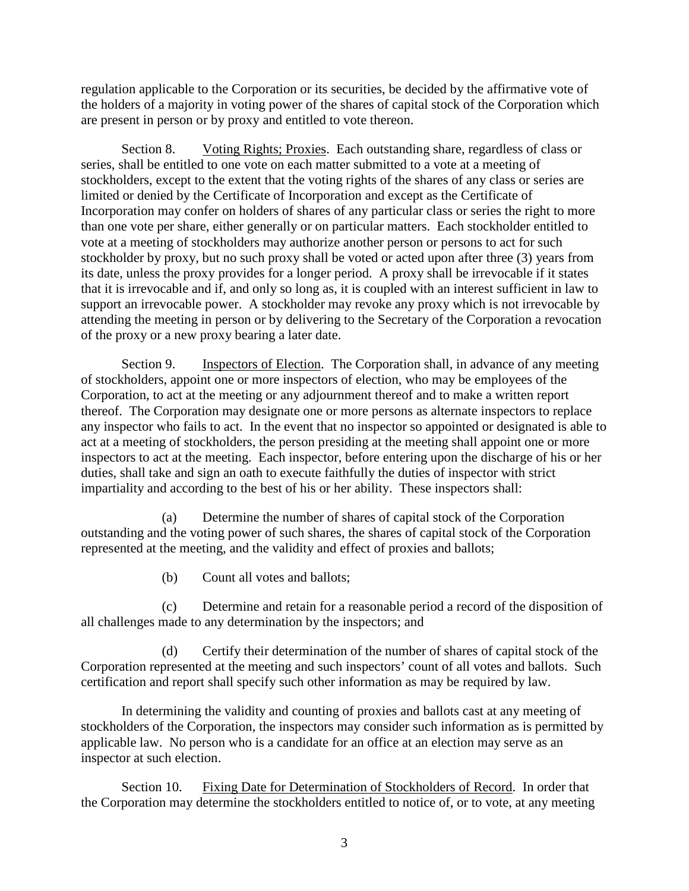regulation applicable to the Corporation or its securities, be decided by the affirmative vote of the holders of a majority in voting power of the shares of capital stock of the Corporation which are present in person or by proxy and entitled to vote thereon.

<span id="page-6-0"></span>Section 8. Voting Rights; Proxies. Each outstanding share, regardless of class or series, shall be entitled to one vote on each matter submitted to a vote at a meeting of stockholders, except to the extent that the voting rights of the shares of any class or series are limited or denied by the Certificate of Incorporation and except as the Certificate of Incorporation may confer on holders of shares of any particular class or series the right to more than one vote per share, either generally or on particular matters. Each stockholder entitled to vote at a meeting of stockholders may authorize another person or persons to act for such stockholder by proxy, but no such proxy shall be voted or acted upon after three (3) years from its date, unless the proxy provides for a longer period. A proxy shall be irrevocable if it states that it is irrevocable and if, and only so long as, it is coupled with an interest sufficient in law to support an irrevocable power. A stockholder may revoke any proxy which is not irrevocable by attending the meeting in person or by delivering to the Secretary of the Corporation a revocation of the proxy or a new proxy bearing a later date.

<span id="page-6-1"></span>Section 9. Inspectors of Election. The Corporation shall, in advance of any meeting of stockholders, appoint one or more inspectors of election, who may be employees of the Corporation, to act at the meeting or any adjournment thereof and to make a written report thereof. The Corporation may designate one or more persons as alternate inspectors to replace any inspector who fails to act. In the event that no inspector so appointed or designated is able to act at a meeting of stockholders, the person presiding at the meeting shall appoint one or more inspectors to act at the meeting. Each inspector, before entering upon the discharge of his or her duties, shall take and sign an oath to execute faithfully the duties of inspector with strict impartiality and according to the best of his or her ability. These inspectors shall:

(a) Determine the number of shares of capital stock of the Corporation outstanding and the voting power of such shares, the shares of capital stock of the Corporation represented at the meeting, and the validity and effect of proxies and ballots;

(b) Count all votes and ballots;

(c) Determine and retain for a reasonable period a record of the disposition of all challenges made to any determination by the inspectors; and

(d) Certify their determination of the number of shares of capital stock of the Corporation represented at the meeting and such inspectors' count of all votes and ballots. Such certification and report shall specify such other information as may be required by law.

In determining the validity and counting of proxies and ballots cast at any meeting of stockholders of the Corporation, the inspectors may consider such information as is permitted by applicable law. No person who is a candidate for an office at an election may serve as an inspector at such election.

<span id="page-6-2"></span>Section 10. Fixing Date for Determination of Stockholders of Record. In order that the Corporation may determine the stockholders entitled to notice of, or to vote, at any meeting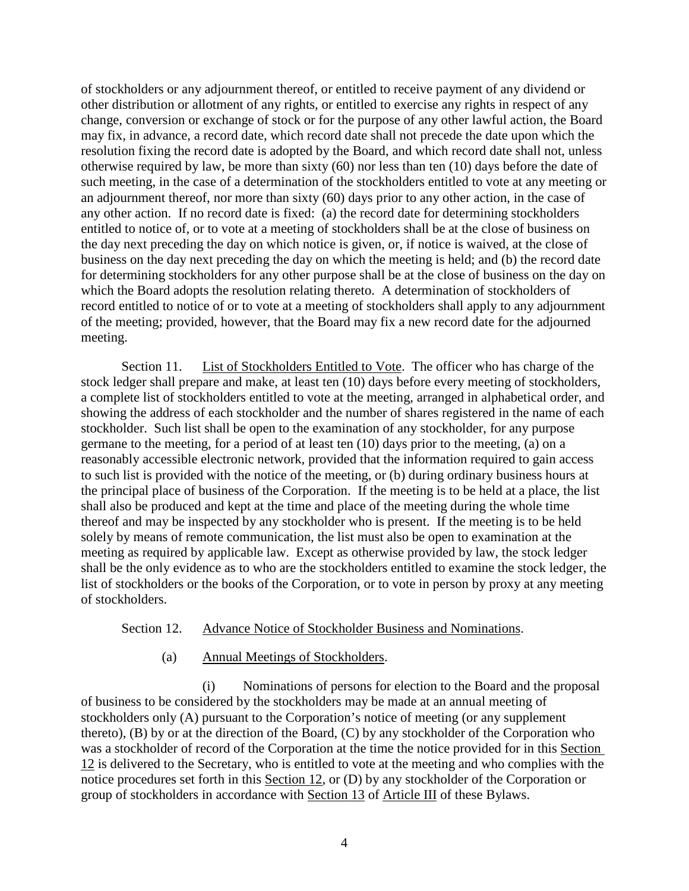of stockholders or any adjournment thereof, or entitled to receive payment of any dividend or other distribution or allotment of any rights, or entitled to exercise any rights in respect of any change, conversion or exchange of stock or for the purpose of any other lawful action, the Board may fix, in advance, a record date, which record date shall not precede the date upon which the resolution fixing the record date is adopted by the Board, and which record date shall not, unless otherwise required by law, be more than sixty (60) nor less than ten (10) days before the date of such meeting, in the case of a determination of the stockholders entitled to vote at any meeting or an adjournment thereof, nor more than sixty (60) days prior to any other action, in the case of any other action. If no record date is fixed: (a) the record date for determining stockholders entitled to notice of, or to vote at a meeting of stockholders shall be at the close of business on the day next preceding the day on which notice is given, or, if notice is waived, at the close of business on the day next preceding the day on which the meeting is held; and (b) the record date for determining stockholders for any other purpose shall be at the close of business on the day on which the Board adopts the resolution relating thereto. A determination of stockholders of record entitled to notice of or to vote at a meeting of stockholders shall apply to any adjournment of the meeting; provided, however, that the Board may fix a new record date for the adjourned meeting.

<span id="page-7-0"></span>Section 11. List of Stockholders Entitled to Vote. The officer who has charge of the stock ledger shall prepare and make, at least ten (10) days before every meeting of stockholders, a complete list of stockholders entitled to vote at the meeting, arranged in alphabetical order, and showing the address of each stockholder and the number of shares registered in the name of each stockholder. Such list shall be open to the examination of any stockholder, for any purpose germane to the meeting, for a period of at least ten (10) days prior to the meeting, (a) on a reasonably accessible electronic network, provided that the information required to gain access to such list is provided with the notice of the meeting, or (b) during ordinary business hours at the principal place of business of the Corporation. If the meeting is to be held at a place, the list shall also be produced and kept at the time and place of the meeting during the whole time thereof and may be inspected by any stockholder who is present. If the meeting is to be held solely by means of remote communication, the list must also be open to examination at the meeting as required by applicable law. Except as otherwise provided by law, the stock ledger shall be the only evidence as to who are the stockholders entitled to examine the stock ledger, the list of stockholders or the books of the Corporation, or to vote in person by proxy at any meeting of stockholders.

#### <span id="page-7-1"></span>Section 12. Advance Notice of Stockholder Business and Nominations.

#### (a) Annual Meetings of Stockholders.

<span id="page-7-2"></span>(i) Nominations of persons for election to the Board and the proposal of business to be considered by the stockholders may be made at an annual meeting of stockholders only (A) pursuant to the Corporation's notice of meeting (or any supplement thereto), (B) by or at the direction of the Board, (C) by any stockholder of the Corporation who was a stockholder of record of the Corporation at the time the notice provided for in this [Section](#page-7-1)  [12](#page-7-1) is delivered to the Secretary, who is entitled to vote at the meeting and who complies with the notice procedures set forth in this [Section 12,](#page-7-1) or (D) by any stockholder of the Corporation or group of stockholders in accordance with [Section 13](#page-18-0) of [Article III](#page-4-7) of these Bylaws.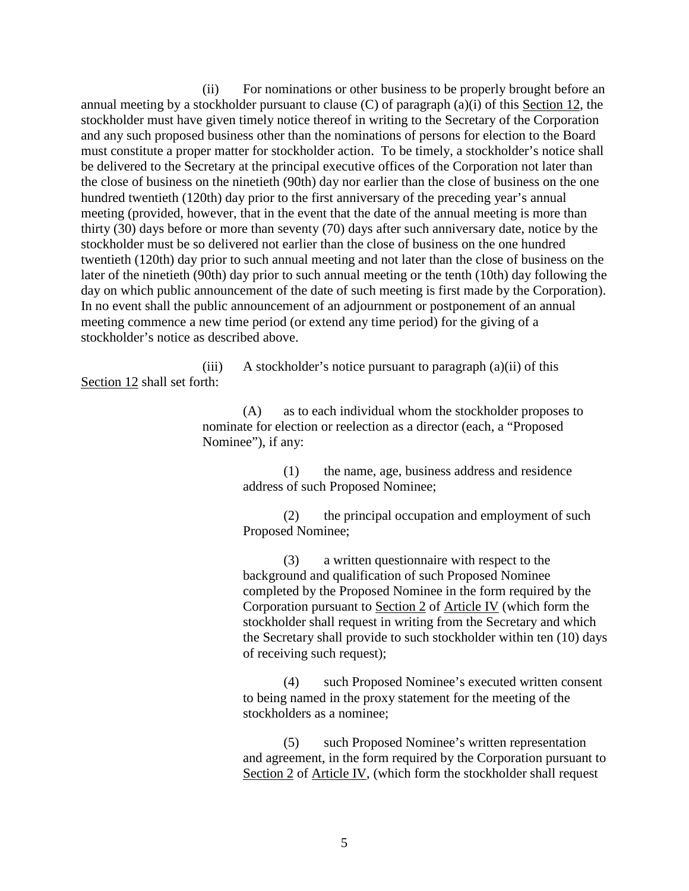(ii) For nominations or other business to be properly brought before an annual meeting by a stockholder pursuant to clause  $(C)$  of paragraph  $(a)(i)$  of this [Section 12,](#page-7-1) the stockholder must have given timely notice thereof in writing to the Secretary of the Corporation and any such proposed business other than the nominations of persons for election to the Board must constitute a proper matter for stockholder action. To be timely, a stockholder's notice shall be delivered to the Secretary at the principal executive offices of the Corporation not later than the close of business on the ninetieth (90th) day nor earlier than the close of business on the one hundred twentieth (120th) day prior to the first anniversary of the preceding year's annual meeting (provided, however, that in the event that the date of the annual meeting is more than thirty (30) days before or more than seventy (70) days after such anniversary date, notice by the stockholder must be so delivered not earlier than the close of business on the one hundred twentieth (120th) day prior to such annual meeting and not later than the close of business on the later of the ninetieth (90th) day prior to such annual meeting or the tenth (10th) day following the day on which public announcement of the date of such meeting is first made by the Corporation). In no event shall the public announcement of an adjournment or postponement of an annual meeting commence a new time period (or extend any time period) for the giving of a stockholder's notice as described above.

(iii) A stockholder's notice pursuant to paragraph (a)(ii) of this [Section](#page-7-1) 12 shall set forth:

> (A) as to each individual whom the stockholder proposes to nominate for election or reelection as a director (each, a "Proposed Nominee"), if any:

> > (1) the name, age, business address and residence address of such Proposed Nominee;

(2) the principal occupation and employment of such Proposed Nominee;

(3) a written questionnaire with respect to the background and qualification of such Proposed Nominee completed by the Proposed Nominee in the form required by the Corporation pursuant to [Section 2](#page-30-2) of [Article IV](#page-30-3) (which form the stockholder shall request in writing from the Secretary and which the Secretary shall provide to such stockholder within ten (10) days of receiving such request);

(4) such Proposed Nominee's executed written consent to being named in the proxy statement for the meeting of the stockholders as a nominee;

(5) such Proposed Nominee's written representation and agreement, in the form required by the Corporation pursuant to [Section 2](#page-30-2) of [Article IV,](#page-30-3) (which form the stockholder shall request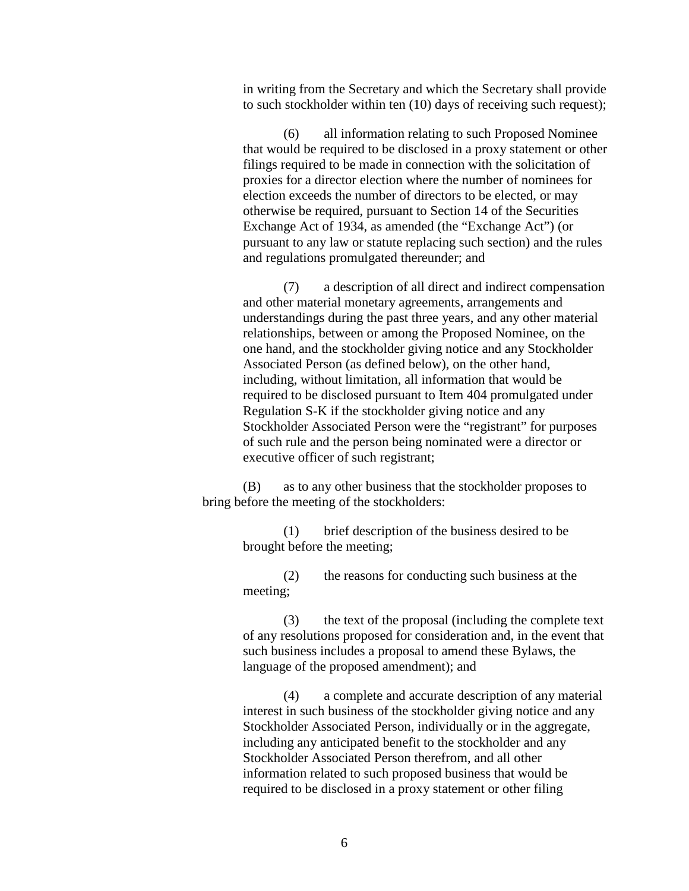in writing from the Secretary and which the Secretary shall provide to such stockholder within ten (10) days of receiving such request);

(6) all information relating to such Proposed Nominee that would be required to be disclosed in a proxy statement or other filings required to be made in connection with the solicitation of proxies for a director election where the number of nominees for election exceeds the number of directors to be elected, or may otherwise be required, pursuant to Section 14 of the Securities Exchange Act of 1934, as amended (the "Exchange Act") (or pursuant to any law or statute replacing such section) and the rules and regulations promulgated thereunder; and

(7) a description of all direct and indirect compensation and other material monetary agreements, arrangements and understandings during the past three years, and any other material relationships, between or among the Proposed Nominee, on the one hand, and the stockholder giving notice and any Stockholder Associated Person (as defined below), on the other hand, including, without limitation, all information that would be required to be disclosed pursuant to Item 404 promulgated under Regulation S-K if the stockholder giving notice and any Stockholder Associated Person were the "registrant" for purposes of such rule and the person being nominated were a director or executive officer of such registrant;

(B) as to any other business that the stockholder proposes to bring before the meeting of the stockholders:

> (1) brief description of the business desired to be brought before the meeting;

(2) the reasons for conducting such business at the meeting;

(3) the text of the proposal (including the complete text of any resolutions proposed for consideration and, in the event that such business includes a proposal to amend these Bylaws, the language of the proposed amendment); and

(4) a complete and accurate description of any material interest in such business of the stockholder giving notice and any Stockholder Associated Person, individually or in the aggregate, including any anticipated benefit to the stockholder and any Stockholder Associated Person therefrom, and all other information related to such proposed business that would be required to be disclosed in a proxy statement or other filing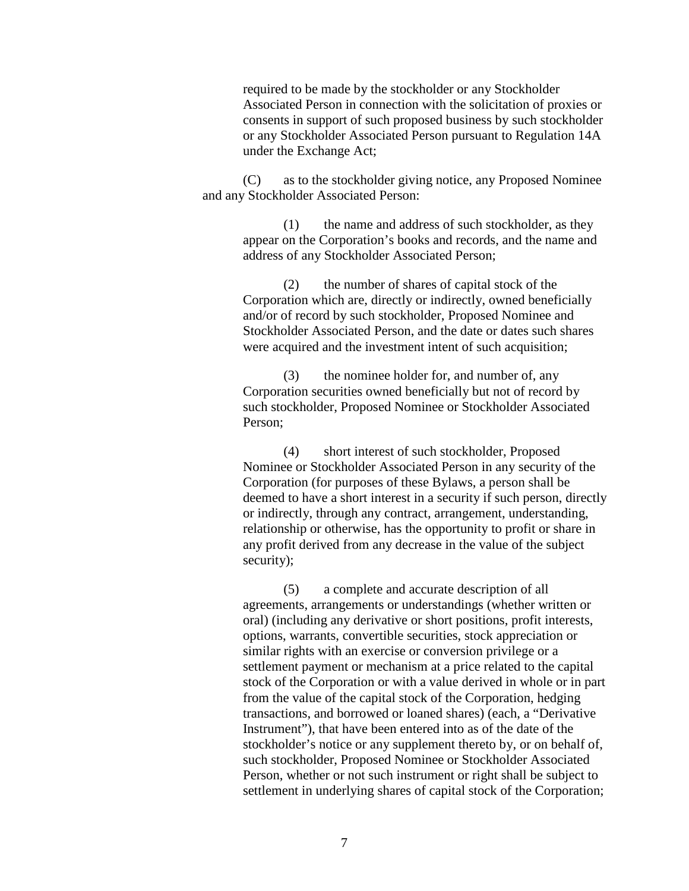required to be made by the stockholder or any Stockholder Associated Person in connection with the solicitation of proxies or consents in support of such proposed business by such stockholder or any Stockholder Associated Person pursuant to Regulation 14A under the Exchange Act;

(C) as to the stockholder giving notice, any Proposed Nominee and any Stockholder Associated Person:

> (1) the name and address of such stockholder, as they appear on the Corporation's books and records, and the name and address of any Stockholder Associated Person;

(2) the number of shares of capital stock of the Corporation which are, directly or indirectly, owned beneficially and/or of record by such stockholder, Proposed Nominee and Stockholder Associated Person, and the date or dates such shares were acquired and the investment intent of such acquisition;

(3) the nominee holder for, and number of, any Corporation securities owned beneficially but not of record by such stockholder, Proposed Nominee or Stockholder Associated Person;

(4) short interest of such stockholder, Proposed Nominee or Stockholder Associated Person in any security of the Corporation (for purposes of these Bylaws, a person shall be deemed to have a short interest in a security if such person, directly or indirectly, through any contract, arrangement, understanding, relationship or otherwise, has the opportunity to profit or share in any profit derived from any decrease in the value of the subject security);

(5) a complete and accurate description of all agreements, arrangements or understandings (whether written or oral) (including any derivative or short positions, profit interests, options, warrants, convertible securities, stock appreciation or similar rights with an exercise or conversion privilege or a settlement payment or mechanism at a price related to the capital stock of the Corporation or with a value derived in whole or in part from the value of the capital stock of the Corporation, hedging transactions, and borrowed or loaned shares) (each, a "Derivative Instrument"), that have been entered into as of the date of the stockholder's notice or any supplement thereto by, or on behalf of, such stockholder, Proposed Nominee or Stockholder Associated Person, whether or not such instrument or right shall be subject to settlement in underlying shares of capital stock of the Corporation;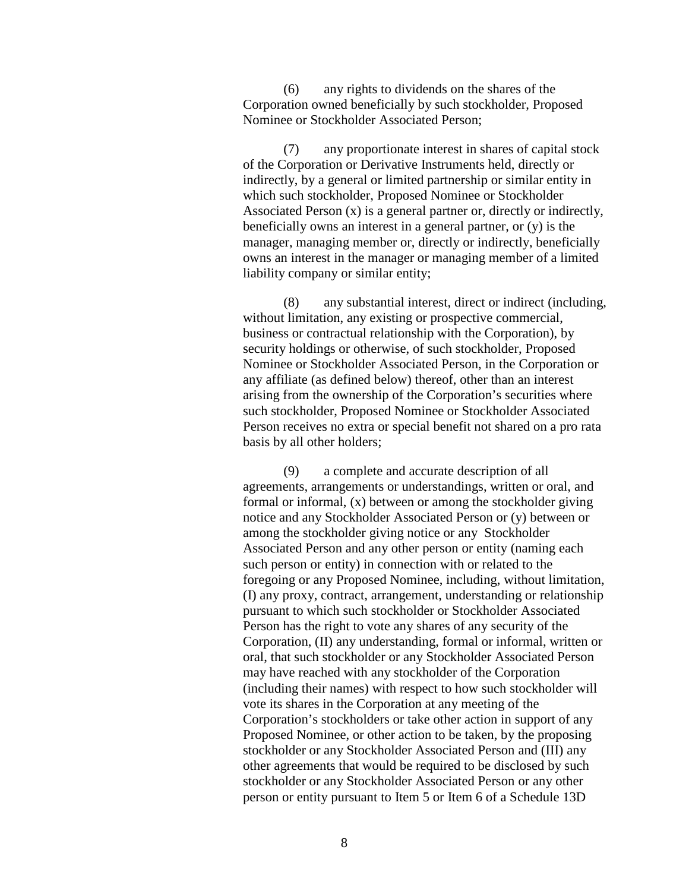(6) any rights to dividends on the shares of the Corporation owned beneficially by such stockholder, Proposed Nominee or Stockholder Associated Person;

(7) any proportionate interest in shares of capital stock of the Corporation or Derivative Instruments held, directly or indirectly, by a general or limited partnership or similar entity in which such stockholder, Proposed Nominee or Stockholder Associated Person (x) is a general partner or, directly or indirectly, beneficially owns an interest in a general partner, or (y) is the manager, managing member or, directly or indirectly, beneficially owns an interest in the manager or managing member of a limited liability company or similar entity;

(8) any substantial interest, direct or indirect (including, without limitation, any existing or prospective commercial, business or contractual relationship with the Corporation), by security holdings or otherwise, of such stockholder, Proposed Nominee or Stockholder Associated Person, in the Corporation or any affiliate (as defined below) thereof, other than an interest arising from the ownership of the Corporation's securities where such stockholder, Proposed Nominee or Stockholder Associated Person receives no extra or special benefit not shared on a pro rata basis by all other holders;

(9) a complete and accurate description of all agreements, arrangements or understandings, written or oral, and formal or informal, (x) between or among the stockholder giving notice and any Stockholder Associated Person or (y) between or among the stockholder giving notice or any Stockholder Associated Person and any other person or entity (naming each such person or entity) in connection with or related to the foregoing or any Proposed Nominee, including, without limitation, (I) any proxy, contract, arrangement, understanding or relationship pursuant to which such stockholder or Stockholder Associated Person has the right to vote any shares of any security of the Corporation, (II) any understanding, formal or informal, written or oral, that such stockholder or any Stockholder Associated Person may have reached with any stockholder of the Corporation (including their names) with respect to how such stockholder will vote its shares in the Corporation at any meeting of the Corporation's stockholders or take other action in support of any Proposed Nominee, or other action to be taken, by the proposing stockholder or any Stockholder Associated Person and (III) any other agreements that would be required to be disclosed by such stockholder or any Stockholder Associated Person or any other person or entity pursuant to Item 5 or Item 6 of a Schedule 13D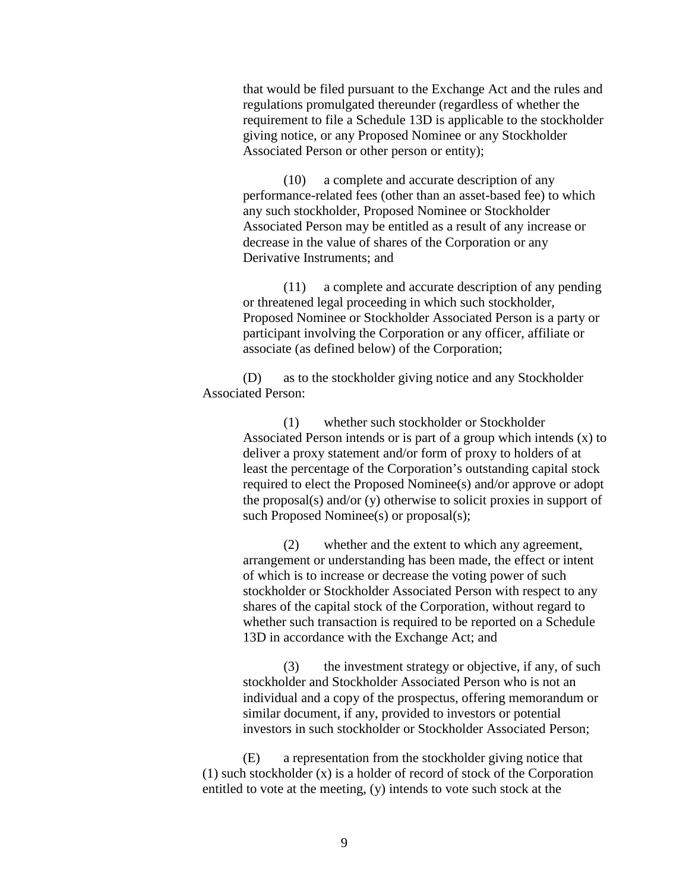that would be filed pursuant to the Exchange Act and the rules and regulations promulgated thereunder (regardless of whether the requirement to file a Schedule 13D is applicable to the stockholder giving notice, or any Proposed Nominee or any Stockholder Associated Person or other person or entity);

(10) a complete and accurate description of any performance-related fees (other than an asset-based fee) to which any such stockholder, Proposed Nominee or Stockholder Associated Person may be entitled as a result of any increase or decrease in the value of shares of the Corporation or any Derivative Instruments; and

(11) a complete and accurate description of any pending or threatened legal proceeding in which such stockholder, Proposed Nominee or Stockholder Associated Person is a party or participant involving the Corporation or any officer, affiliate or associate (as defined below) of the Corporation;

(D) as to the stockholder giving notice and any Stockholder Associated Person:

> (1) whether such stockholder or Stockholder Associated Person intends or is part of a group which intends (x) to deliver a proxy statement and/or form of proxy to holders of at least the percentage of the Corporation's outstanding capital stock required to elect the Proposed Nominee(s) and/or approve or adopt the proposal(s) and/or (y) otherwise to solicit proxies in support of such Proposed Nominee(s) or proposal(s);

(2) whether and the extent to which any agreement, arrangement or understanding has been made, the effect or intent of which is to increase or decrease the voting power of such stockholder or Stockholder Associated Person with respect to any shares of the capital stock of the Corporation, without regard to whether such transaction is required to be reported on a Schedule 13D in accordance with the Exchange Act; and

(3) the investment strategy or objective, if any, of such stockholder and Stockholder Associated Person who is not an individual and a copy of the prospectus, offering memorandum or similar document, if any, provided to investors or potential investors in such stockholder or Stockholder Associated Person;

(E) a representation from the stockholder giving notice that (1) such stockholder (x) is a holder of record of stock of the Corporation entitled to vote at the meeting, (y) intends to vote such stock at the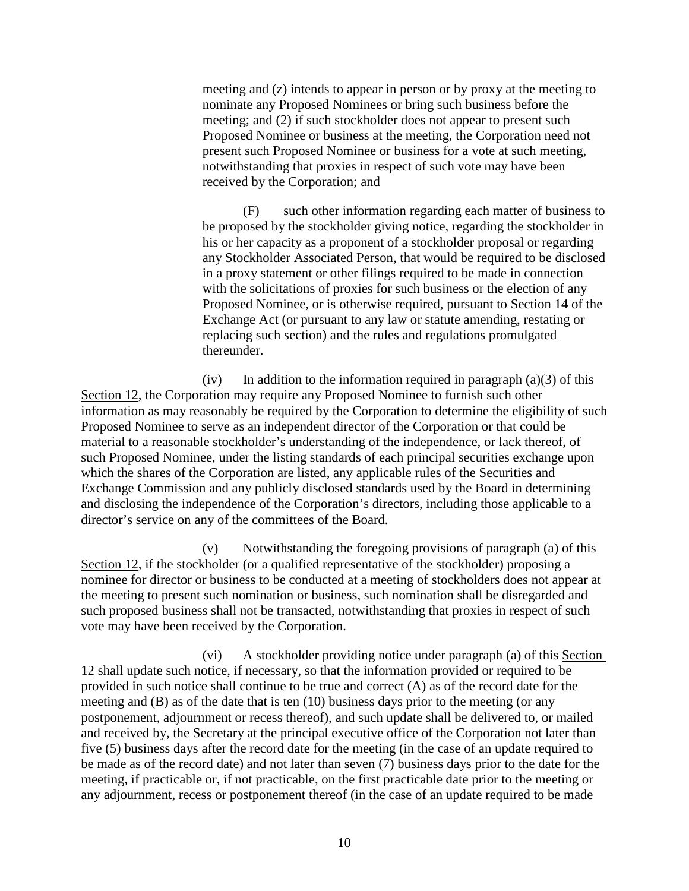meeting and (z) intends to appear in person or by proxy at the meeting to nominate any Proposed Nominees or bring such business before the meeting; and (2) if such stockholder does not appear to present such Proposed Nominee or business at the meeting, the Corporation need not present such Proposed Nominee or business for a vote at such meeting, notwithstanding that proxies in respect of such vote may have been received by the Corporation; and

(F) such other information regarding each matter of business to be proposed by the stockholder giving notice, regarding the stockholder in his or her capacity as a proponent of a stockholder proposal or regarding any Stockholder Associated Person, that would be required to be disclosed in a proxy statement or other filings required to be made in connection with the solicitations of proxies for such business or the election of any Proposed Nominee, or is otherwise required, pursuant to Section 14 of the Exchange Act (or pursuant to any law or statute amending, restating or replacing such section) and the rules and regulations promulgated thereunder.

(iv) In addition to the information required in paragraph  $(a)(3)$  of this [Section 12,](#page-7-1) the Corporation may require any Proposed Nominee to furnish such other information as may reasonably be required by the Corporation to determine the eligibility of such Proposed Nominee to serve as an independent director of the Corporation or that could be material to a reasonable stockholder's understanding of the independence, or lack thereof, of such Proposed Nominee, under the listing standards of each principal securities exchange upon which the shares of the Corporation are listed, any applicable rules of the Securities and Exchange Commission and any publicly disclosed standards used by the Board in determining and disclosing the independence of the Corporation's directors, including those applicable to a director's service on any of the committees of the Board.

(v) Notwithstanding the foregoing provisions of paragraph (a) of this [Section 12,](#page-7-1) if the stockholder (or a qualified representative of the stockholder) proposing a nominee for director or business to be conducted at a meeting of stockholders does not appear at the meeting to present such nomination or business, such nomination shall be disregarded and such proposed business shall not be transacted, notwithstanding that proxies in respect of such vote may have been received by the Corporation.

(vi) A stockholder providing notice under paragraph (a) of this [Section](#page-7-1)  [12](#page-7-1) shall update such notice, if necessary, so that the information provided or required to be provided in such notice shall continue to be true and correct (A) as of the record date for the meeting and (B) as of the date that is ten (10) business days prior to the meeting (or any postponement, adjournment or recess thereof), and such update shall be delivered to, or mailed and received by, the Secretary at the principal executive office of the Corporation not later than five (5) business days after the record date for the meeting (in the case of an update required to be made as of the record date) and not later than seven (7) business days prior to the date for the meeting, if practicable or, if not practicable, on the first practicable date prior to the meeting or any adjournment, recess or postponement thereof (in the case of an update required to be made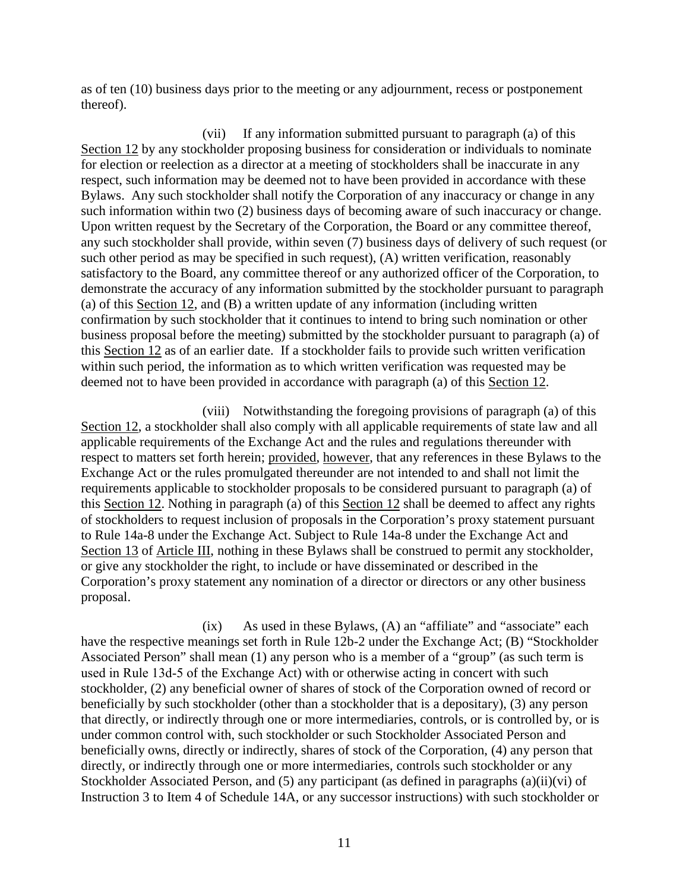as of ten (10) business days prior to the meeting or any adjournment, recess or postponement thereof).

(vii) If any information submitted pursuant to paragraph (a) of this [Section 12](#page-7-1) by any stockholder proposing business for consideration or individuals to nominate for election or reelection as a director at a meeting of stockholders shall be inaccurate in any respect, such information may be deemed not to have been provided in accordance with these Bylaws. Any such stockholder shall notify the Corporation of any inaccuracy or change in any such information within two (2) business days of becoming aware of such inaccuracy or change. Upon written request by the Secretary of the Corporation, the Board or any committee thereof, any such stockholder shall provide, within seven (7) business days of delivery of such request (or such other period as may be specified in such request), (A) written verification, reasonably satisfactory to the Board, any committee thereof or any authorized officer of the Corporation, to demonstrate the accuracy of any information submitted by the stockholder pursuant to paragraph (a) of this [Section 12,](#page-7-1) and (B) a written update of any information (including written confirmation by such stockholder that it continues to intend to bring such nomination or other business proposal before the meeting) submitted by the stockholder pursuant to paragraph (a) of this [Section 12](#page-7-1) as of an earlier date. If a stockholder fails to provide such written verification within such period, the information as to which written verification was requested may be deemed not to have been provided in accordance with paragraph (a) of this [Section 12.](#page-7-1)

(viii) Notwithstanding the foregoing provisions of paragraph (a) of this [Section 12,](#page-7-1) a stockholder shall also comply with all applicable requirements of state law and all applicable requirements of the Exchange Act and the rules and regulations thereunder with respect to matters set forth herein; provided, however, that any references in these Bylaws to the Exchange Act or the rules promulgated thereunder are not intended to and shall not limit the requirements applicable to stockholder proposals to be considered pursuant to paragraph (a) of this [Section 12.](#page-7-1) Nothing in paragraph (a) of this [Section 12](#page-7-1) shall be deemed to affect any rights of stockholders to request inclusion of proposals in the Corporation's proxy statement pursuant to Rule 14a-8 under the Exchange Act. Subject to Rule 14a-8 under the Exchange Act and [Section 13](#page-18-0) of [Article III,](#page-4-7) nothing in these Bylaws shall be construed to permit any stockholder, or give any stockholder the right, to include or have disseminated or described in the Corporation's proxy statement any nomination of a director or directors or any other business proposal.

 $(ix)$  As used in these Bylaws,  $(A)$  an "affiliate" and "associate" each have the respective meanings set forth in Rule 12b-2 under the Exchange Act; (B) "Stockholder Associated Person" shall mean (1) any person who is a member of a "group" (as such term is used in Rule 13d-5 of the Exchange Act) with or otherwise acting in concert with such stockholder, (2) any beneficial owner of shares of stock of the Corporation owned of record or beneficially by such stockholder (other than a stockholder that is a depositary), (3) any person that directly, or indirectly through one or more intermediaries, controls, or is controlled by, or is under common control with, such stockholder or such Stockholder Associated Person and beneficially owns, directly or indirectly, shares of stock of the Corporation, (4) any person that directly, or indirectly through one or more intermediaries, controls such stockholder or any Stockholder Associated Person, and (5) any participant (as defined in paragraphs (a)(ii)(vi) of Instruction 3 to Item 4 of Schedule 14A, or any successor instructions) with such stockholder or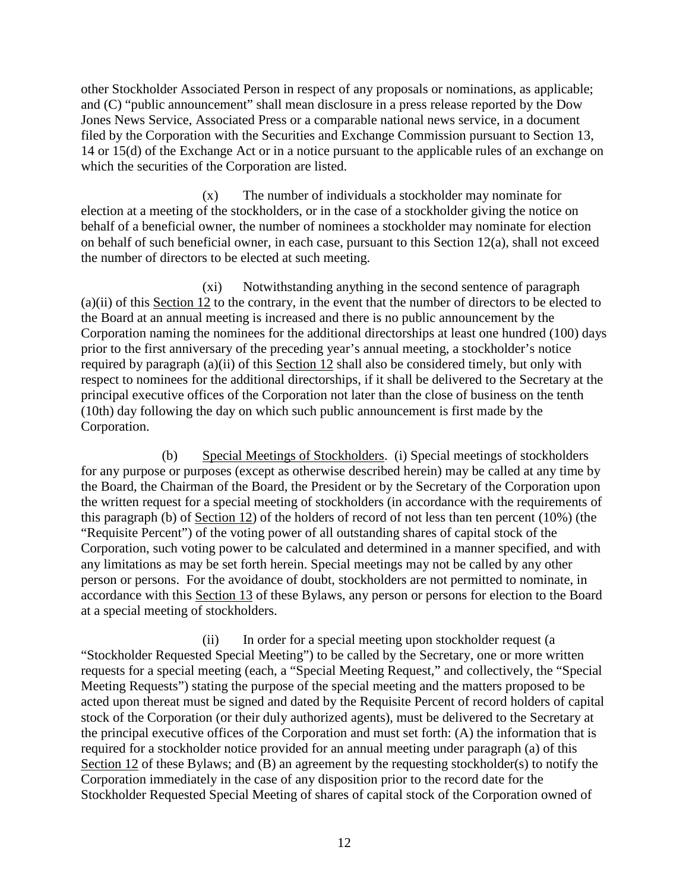other Stockholder Associated Person in respect of any proposals or nominations, as applicable; and (C) "public announcement" shall mean disclosure in a press release reported by the Dow Jones News Service, Associated Press or a comparable national news service, in a document filed by the Corporation with the Securities and Exchange Commission pursuant to Section 13, 14 or 15(d) of the Exchange Act or in a notice pursuant to the applicable rules of an exchange on which the securities of the Corporation are listed.

(x) The number of individuals a stockholder may nominate for election at a meeting of the stockholders, or in the case of a stockholder giving the notice on behalf of a beneficial owner, the number of nominees a stockholder may nominate for election on behalf of such beneficial owner, in each case, pursuant to this Section 12(a), shall not exceed the number of directors to be elected at such meeting.

(xi) Notwithstanding anything in the second sentence of paragraph (a)(ii) of this [Section 12](#page-7-1) to the contrary, in the event that the number of directors to be elected to the Board at an annual meeting is increased and there is no public announcement by the Corporation naming the nominees for the additional directorships at least one hundred (100) days prior to the first anniversary of the preceding year's annual meeting, a stockholder's notice required by paragraph (a)(ii) of this [Section 12](#page-7-1) shall also be considered timely, but only with respect to nominees for the additional directorships, if it shall be delivered to the Secretary at the principal executive offices of the Corporation not later than the close of business on the tenth (10th) day following the day on which such public announcement is first made by the Corporation.

<span id="page-15-0"></span>(b) Special Meetings of Stockholders. (i) Special meetings of stockholders for any purpose or purposes (except as otherwise described herein) may be called at any time by the Board, the Chairman of the Board, the President or by the Secretary of the Corporation upon the written request for a special meeting of stockholders (in accordance with the requirements of this paragraph (b) of [Section 12\)](#page-7-1) of the holders of record of not less than ten percent (10%) (the "Requisite Percent") of the voting power of all outstanding shares of capital stock of the Corporation, such voting power to be calculated and determined in a manner specified, and with any limitations as may be set forth herein. Special meetings may not be called by any other person or persons. For the avoidance of doubt, stockholders are not permitted to nominate, in accordance with this [Section 13](#page-18-0) of these Bylaws, any person or persons for election to the Board at a special meeting of stockholders.

(ii) In order for a special meeting upon stockholder request (a "Stockholder Requested Special Meeting") to be called by the Secretary, one or more written requests for a special meeting (each, a "Special Meeting Request," and collectively, the "Special Meeting Requests") stating the purpose of the special meeting and the matters proposed to be acted upon thereat must be signed and dated by the Requisite Percent of record holders of capital stock of the Corporation (or their duly authorized agents), must be delivered to the Secretary at the principal executive offices of the Corporation and must set forth: (A) the information that is required for a stockholder notice provided for an annual meeting under paragraph (a) of this [Section](#page-7-1) 12 of these Bylaws; and (B) an agreement by the requesting stockholder(s) to notify the Corporation immediately in the case of any disposition prior to the record date for the Stockholder Requested Special Meeting of shares of capital stock of the Corporation owned of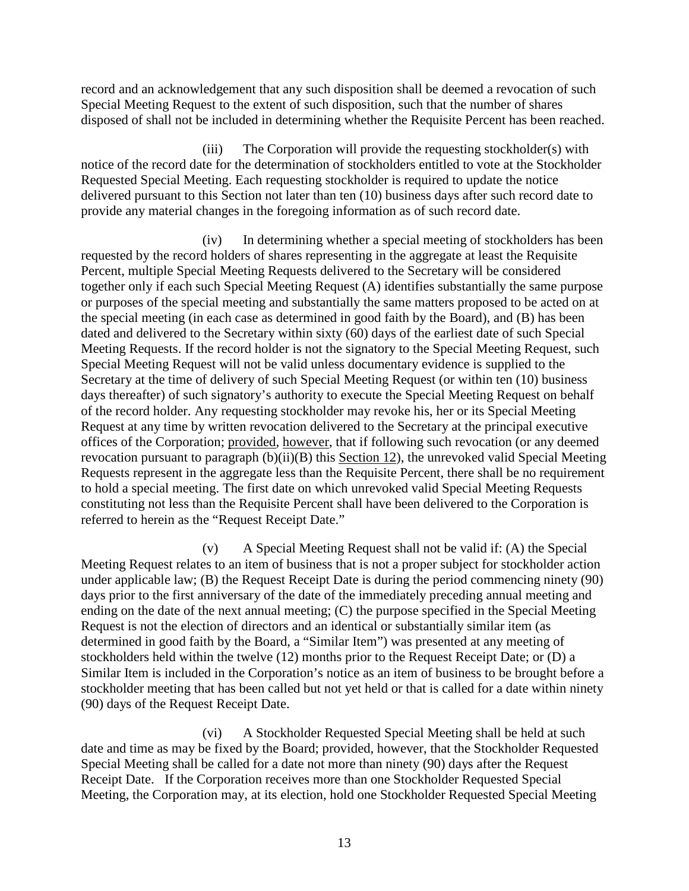record and an acknowledgement that any such disposition shall be deemed a revocation of such Special Meeting Request to the extent of such disposition, such that the number of shares disposed of shall not be included in determining whether the Requisite Percent has been reached.

(iii) The Corporation will provide the requesting stockholder(s) with notice of the record date for the determination of stockholders entitled to vote at the Stockholder Requested Special Meeting. Each requesting stockholder is required to update the notice delivered pursuant to this Section not later than ten (10) business days after such record date to provide any material changes in the foregoing information as of such record date.

(iv) In determining whether a special meeting of stockholders has been requested by the record holders of shares representing in the aggregate at least the Requisite Percent, multiple Special Meeting Requests delivered to the Secretary will be considered together only if each such Special Meeting Request (A) identifies substantially the same purpose or purposes of the special meeting and substantially the same matters proposed to be acted on at the special meeting (in each case as determined in good faith by the Board), and (B) has been dated and delivered to the Secretary within sixty (60) days of the earliest date of such Special Meeting Requests. If the record holder is not the signatory to the Special Meeting Request, such Special Meeting Request will not be valid unless documentary evidence is supplied to the Secretary at the time of delivery of such Special Meeting Request (or within ten (10) business days thereafter) of such signatory's authority to execute the Special Meeting Request on behalf of the record holder. Any requesting stockholder may revoke his, her or its Special Meeting Request at any time by written revocation delivered to the Secretary at the principal executive offices of the Corporation; provided, however, that if following such revocation (or any deemed revocation pursuant to paragraph (b)(ii)(B) this [Section 12\)](#page-7-1), the unrevoked valid Special Meeting Requests represent in the aggregate less than the Requisite Percent, there shall be no requirement to hold a special meeting. The first date on which unrevoked valid Special Meeting Requests constituting not less than the Requisite Percent shall have been delivered to the Corporation is referred to herein as the "Request Receipt Date."

(v) A Special Meeting Request shall not be valid if: (A) the Special Meeting Request relates to an item of business that is not a proper subject for stockholder action under applicable law; (B) the Request Receipt Date is during the period commencing ninety (90) days prior to the first anniversary of the date of the immediately preceding annual meeting and ending on the date of the next annual meeting; (C) the purpose specified in the Special Meeting Request is not the election of directors and an identical or substantially similar item (as determined in good faith by the Board, a "Similar Item") was presented at any meeting of stockholders held within the twelve (12) months prior to the Request Receipt Date; or (D) a Similar Item is included in the Corporation's notice as an item of business to be brought before a stockholder meeting that has been called but not yet held or that is called for a date within ninety (90) days of the Request Receipt Date.

(vi) A Stockholder Requested Special Meeting shall be held at such date and time as may be fixed by the Board; provided, however, that the Stockholder Requested Special Meeting shall be called for a date not more than ninety (90) days after the Request Receipt Date. If the Corporation receives more than one Stockholder Requested Special Meeting, the Corporation may, at its election, hold one Stockholder Requested Special Meeting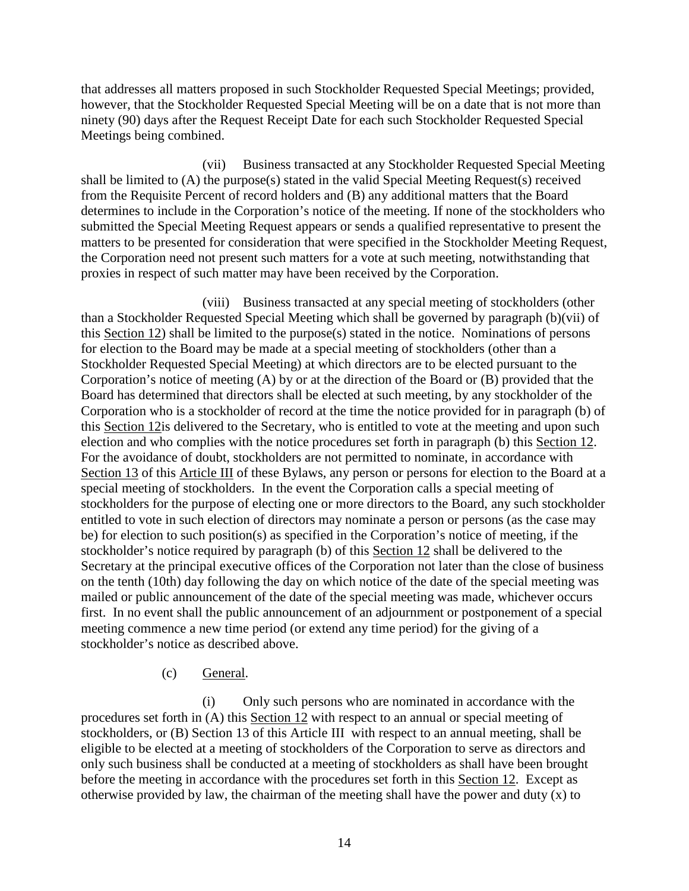that addresses all matters proposed in such Stockholder Requested Special Meetings; provided, however, that the Stockholder Requested Special Meeting will be on a date that is not more than ninety (90) days after the Request Receipt Date for each such Stockholder Requested Special Meetings being combined.

(vii) Business transacted at any Stockholder Requested Special Meeting shall be limited to (A) the purpose(s) stated in the valid Special Meeting Request(s) received from the Requisite Percent of record holders and (B) any additional matters that the Board determines to include in the Corporation's notice of the meeting. If none of the stockholders who submitted the Special Meeting Request appears or sends a qualified representative to present the matters to be presented for consideration that were specified in the Stockholder Meeting Request, the Corporation need not present such matters for a vote at such meeting, notwithstanding that proxies in respect of such matter may have been received by the Corporation.

(viii) Business transacted at any special meeting of stockholders (other than a Stockholder Requested Special Meeting which shall be governed by paragraph (b)(vii) of this [Section 12\)](#page-7-1) shall be limited to the purpose(s) stated in the notice. Nominations of persons for election to the Board may be made at a special meeting of stockholders (other than a Stockholder Requested Special Meeting) at which directors are to be elected pursuant to the Corporation's notice of meeting (A) by or at the direction of the Board or (B) provided that the Board has determined that directors shall be elected at such meeting, by any stockholder of the Corporation who is a stockholder of record at the time the notice provided for in paragraph (b) of this [Section 12i](#page-7-1)s delivered to the Secretary, who is entitled to vote at the meeting and upon such election and who complies with the notice procedures set forth in paragraph (b) this [Section 12.](#page-7-1) For the avoidance of doubt, stockholders are not permitted to nominate, in accordance with [Section 13](#page-18-0) of this [Article III](#page-4-7) of these Bylaws, any person or persons for election to the Board at a special meeting of stockholders. In the event the Corporation calls a special meeting of stockholders for the purpose of electing one or more directors to the Board, any such stockholder entitled to vote in such election of directors may nominate a person or persons (as the case may be) for election to such position(s) as specified in the Corporation's notice of meeting, if the stockholder's notice required by paragraph (b) of this [Section 12](#page-7-1) shall be delivered to the Secretary at the principal executive offices of the Corporation not later than the close of business on the tenth (10th) day following the day on which notice of the date of the special meeting was mailed or public announcement of the date of the special meeting was made, whichever occurs first. In no event shall the public announcement of an adjournment or postponement of a special meeting commence a new time period (or extend any time period) for the giving of a stockholder's notice as described above.

## (c) General.

(i) Only such persons who are nominated in accordance with the procedures set forth in (A) this [Section 12](#page-7-1) with respect to an annual or special meeting of stockholders, or (B) [Section 13](#page-18-0) of this [Article III](#page-4-7) with respect to an annual meeting, shall be eligible to be elected at a meeting of stockholders of the Corporation to serve as directors and only such business shall be conducted at a meeting of stockholders as shall have been brought before the meeting in accordance with the procedures set forth in this [Section 12.](#page-7-1) Except as otherwise provided by law, the chairman of the meeting shall have the power and duty  $(x)$  to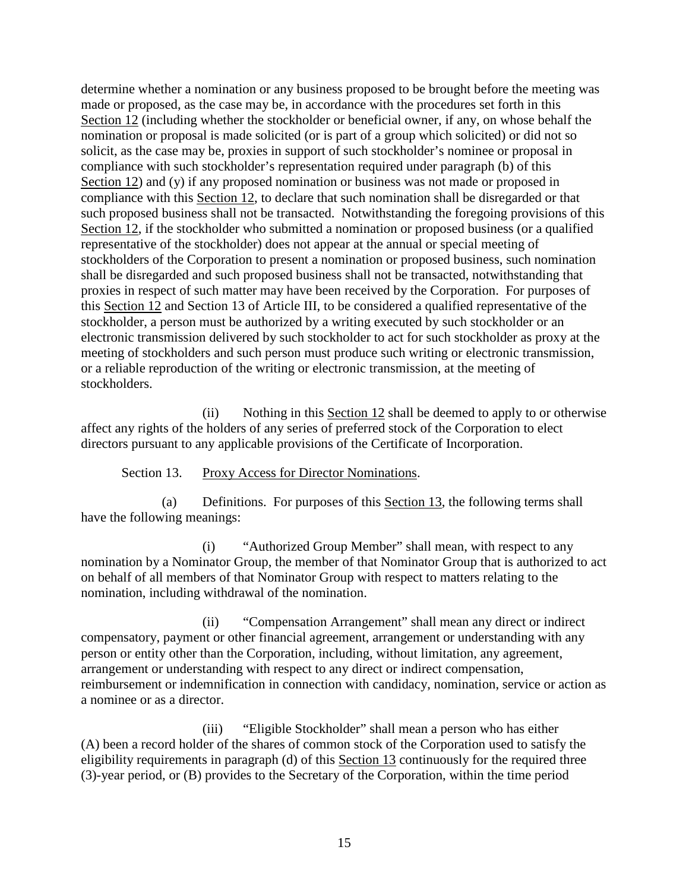determine whether a nomination or any business proposed to be brought before the meeting was made or proposed, as the case may be, in accordance with the procedures set forth in this [Section](#page-7-1) 12 (including whether the stockholder or beneficial owner, if any, on whose behalf the nomination or proposal is made solicited (or is part of a group which solicited) or did not so solicit, as the case may be, proxies in support of such stockholder's nominee or proposal in compliance with such stockholder's representation required under paragraph (b) of this [Section](#page-7-1) 12) and (y) if any proposed nomination or business was not made or proposed in compliance with this [Section 12,](#page-7-1) to declare that such nomination shall be disregarded or that such proposed business shall not be transacted. Notwithstanding the foregoing provisions of this [Section 12,](#page-7-1) if the stockholder who submitted a nomination or proposed business (or a qualified representative of the stockholder) does not appear at the annual or special meeting of stockholders of the Corporation to present a nomination or proposed business, such nomination shall be disregarded and such proposed business shall not be transacted, notwithstanding that proxies in respect of such matter may have been received by the Corporation. For purposes of this [Section 12](#page-7-1) and [Section 13](#page-18-0) of [Article III,](#page-4-7) to be considered a qualified representative of the stockholder, a person must be authorized by a writing executed by such stockholder or an electronic transmission delivered by such stockholder to act for such stockholder as proxy at the meeting of stockholders and such person must produce such writing or electronic transmission, or a reliable reproduction of the writing or electronic transmission, at the meeting of stockholders.

(ii) Nothing in this [Section 12](#page-7-1) shall be deemed to apply to or otherwise affect any rights of the holders of any series of preferred stock of the Corporation to elect directors pursuant to any applicable provisions of the Certificate of Incorporation.

Section 13. Proxy Access for Director Nominations.

<span id="page-18-0"></span>(a) Definitions. For purposes of this [Section 13,](#page-18-0) the following terms shall have the following meanings:

(i) "Authorized Group Member" shall mean, with respect to any nomination by a Nominator Group, the member of that Nominator Group that is authorized to act on behalf of all members of that Nominator Group with respect to matters relating to the nomination, including withdrawal of the nomination.

(ii) "Compensation Arrangement" shall mean any direct or indirect compensatory, payment or other financial agreement, arrangement or understanding with any person or entity other than the Corporation, including, without limitation, any agreement, arrangement or understanding with respect to any direct or indirect compensation, reimbursement or indemnification in connection with candidacy, nomination, service or action as a nominee or as a director.

(iii) "Eligible Stockholder" shall mean a person who has either (A) been a record holder of the shares of common stock of the Corporation used to satisfy the eligibility requirements in paragraph (d) of this [Section 13](#page-18-0) continuously for the required three (3)-year period, or (B) provides to the Secretary of the Corporation, within the time period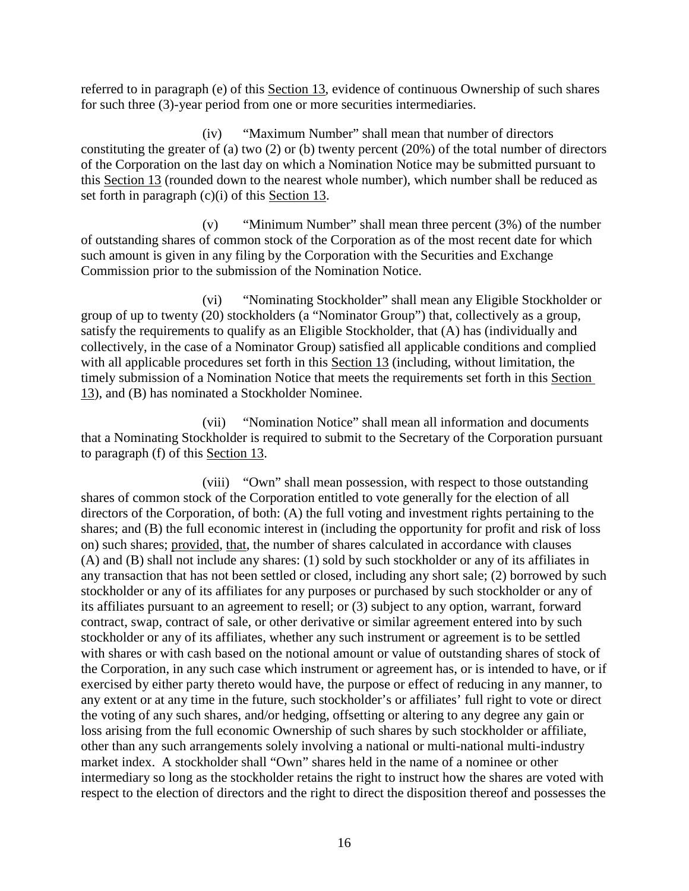referred to in paragraph (e) of this [Section 13,](#page-18-0) evidence of continuous Ownership of such shares for such three (3)-year period from one or more securities intermediaries.

(iv) "Maximum Number" shall mean that number of directors constituting the greater of (a) two (2) or (b) twenty percent (20%) of the total number of directors of the Corporation on the last day on which a Nomination Notice may be submitted pursuant to this [Section 13](#page-18-0) (rounded down to the nearest whole number), which number shall be reduced as set forth in paragraph (c)(i) of this [Section 13.](#page-18-0)

(v) "Minimum Number" shall mean three percent (3%) of the number of outstanding shares of common stock of the Corporation as of the most recent date for which such amount is given in any filing by the Corporation with the Securities and Exchange Commission prior to the submission of the Nomination Notice.

(vi) "Nominating Stockholder" shall mean any Eligible Stockholder or group of up to twenty (20) stockholders (a "Nominator Group") that, collectively as a group, satisfy the requirements to qualify as an Eligible Stockholder, that (A) has (individually and collectively, in the case of a Nominator Group) satisfied all applicable conditions and complied with all applicable procedures set forth in this [Section 13](#page-18-0) (including, without limitation, the timely submission of a Nomination Notice that meets the requirements set forth in this [Section](#page-18-0)  [13\)](#page-18-0), and (B) has nominated a Stockholder Nominee.

(vii) "Nomination Notice" shall mean all information and documents that a Nominating Stockholder is required to submit to the Secretary of the Corporation pursuant to paragraph (f) of this [Section 13.](#page-18-0)

(viii) "Own" shall mean possession, with respect to those outstanding shares of common stock of the Corporation entitled to vote generally for the election of all directors of the Corporation, of both: (A) the full voting and investment rights pertaining to the shares; and (B) the full economic interest in (including the opportunity for profit and risk of loss on) such shares; provided, that, the number of shares calculated in accordance with clauses (A) and (B) shall not include any shares: (1) sold by such stockholder or any of its affiliates in any transaction that has not been settled or closed, including any short sale; (2) borrowed by such stockholder or any of its affiliates for any purposes or purchased by such stockholder or any of its affiliates pursuant to an agreement to resell; or (3) subject to any option, warrant, forward contract, swap, contract of sale, or other derivative or similar agreement entered into by such stockholder or any of its affiliates, whether any such instrument or agreement is to be settled with shares or with cash based on the notional amount or value of outstanding shares of stock of the Corporation, in any such case which instrument or agreement has, or is intended to have, or if exercised by either party thereto would have, the purpose or effect of reducing in any manner, to any extent or at any time in the future, such stockholder's or affiliates' full right to vote or direct the voting of any such shares, and/or hedging, offsetting or altering to any degree any gain or loss arising from the full economic Ownership of such shares by such stockholder or affiliate, other than any such arrangements solely involving a national or multi-national multi-industry market index. A stockholder shall "Own" shares held in the name of a nominee or other intermediary so long as the stockholder retains the right to instruct how the shares are voted with respect to the election of directors and the right to direct the disposition thereof and possesses the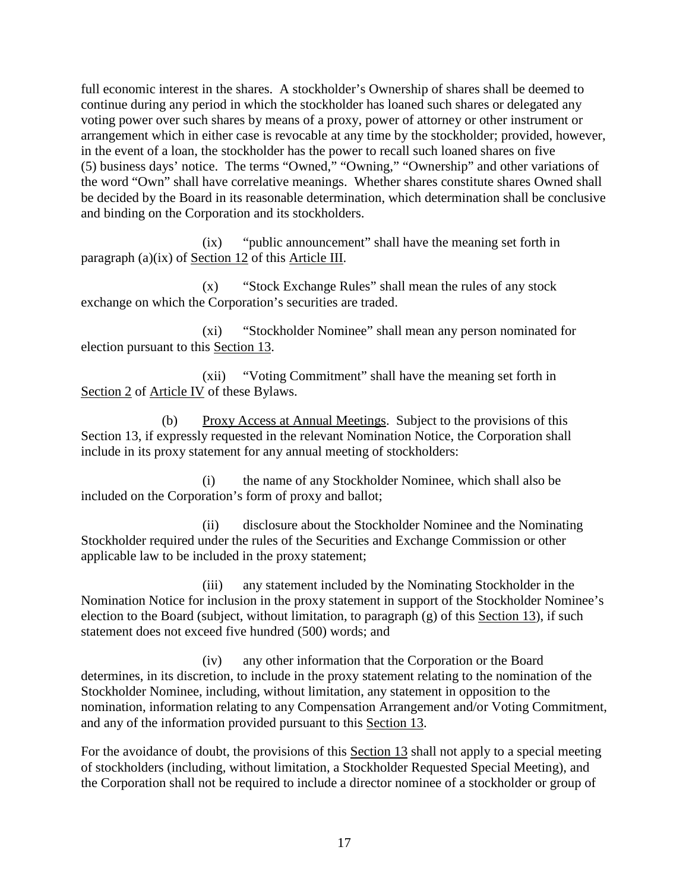full economic interest in the shares. A stockholder's Ownership of shares shall be deemed to continue during any period in which the stockholder has loaned such shares or delegated any voting power over such shares by means of a proxy, power of attorney or other instrument or arrangement which in either case is revocable at any time by the stockholder; provided, however, in the event of a loan, the stockholder has the power to recall such loaned shares on five (5) business days' notice. The terms "Owned," "Owning," "Ownership" and other variations of the word "Own" shall have correlative meanings. Whether shares constitute shares Owned shall be decided by the Board in its reasonable determination, which determination shall be conclusive and binding on the Corporation and its stockholders.

(ix) "public announcement" shall have the meaning set forth in paragraph (a)(ix) of [Section 12](#page-7-1) of this [Article III.](#page-4-7)

(x) "Stock Exchange Rules" shall mean the rules of any stock exchange on which the Corporation's securities are traded.

(xi) "Stockholder Nominee" shall mean any person nominated for election pursuant to this [Section 13.](#page-18-0)

(xii) "Voting Commitment" shall have the meaning set forth in [Section](#page-30-2) 2 of [Article IV](#page-30-3) of these Bylaws.

(b) Proxy Access at Annual Meetings. Subject to the provisions of this [Section 13,](#page-18-0) if expressly requested in the relevant Nomination Notice, the Corporation shall include in its proxy statement for any annual meeting of stockholders:

(i) the name of any Stockholder Nominee, which shall also be included on the Corporation's form of proxy and ballot;

(ii) disclosure about the Stockholder Nominee and the Nominating Stockholder required under the rules of the Securities and Exchange Commission or other applicable law to be included in the proxy statement;

(iii) any statement included by the Nominating Stockholder in the Nomination Notice for inclusion in the proxy statement in support of the Stockholder Nominee's election to the Board (subject, without limitation, to paragraph (g) of this [Section 13\)](#page-18-0), if such statement does not exceed five hundred (500) words; and

(iv) any other information that the Corporation or the Board determines, in its discretion, to include in the proxy statement relating to the nomination of the Stockholder Nominee, including, without limitation, any statement in opposition to the nomination, information relating to any Compensation Arrangement and/or Voting Commitment, and any of the information provided pursuant to this [Section 13.](#page-18-0)

For the avoidance of doubt, the provisions of this [Section 13](#page-18-0) shall not apply to a special meeting of stockholders (including, without limitation, a Stockholder Requested Special Meeting), and the Corporation shall not be required to include a director nominee of a stockholder or group of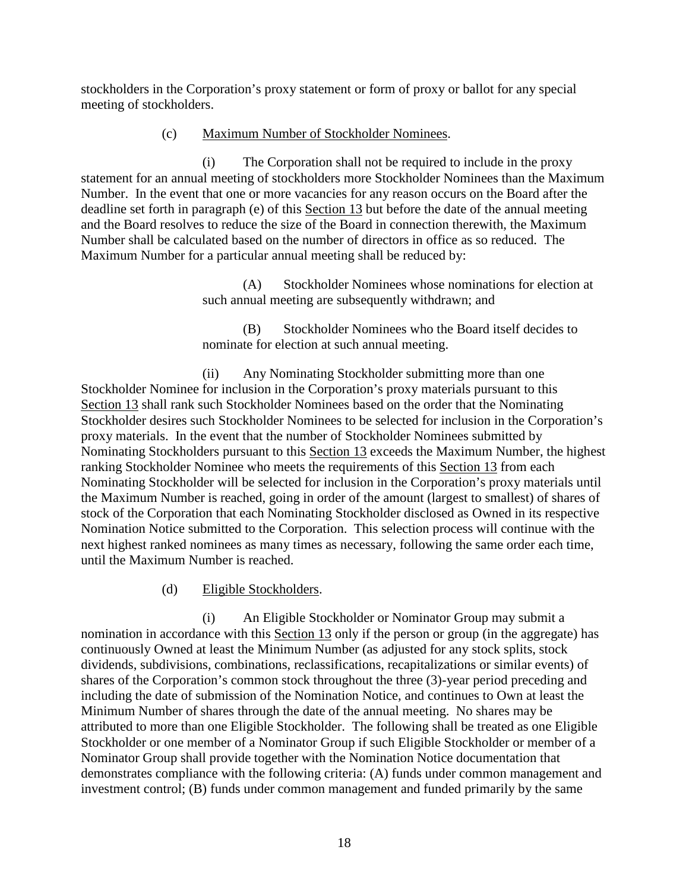stockholders in the Corporation's proxy statement or form of proxy or ballot for any special meeting of stockholders.

### (c) Maximum Number of Stockholder Nominees.

(i) The Corporation shall not be required to include in the proxy statement for an annual meeting of stockholders more Stockholder Nominees than the Maximum Number. In the event that one or more vacancies for any reason occurs on the Board after the deadline set forth in paragraph (e) of this [Section 13](#page-18-0) but before the date of the annual meeting and the Board resolves to reduce the size of the Board in connection therewith, the Maximum Number shall be calculated based on the number of directors in office as so reduced. The Maximum Number for a particular annual meeting shall be reduced by:

> (A) Stockholder Nominees whose nominations for election at such annual meeting are subsequently withdrawn; and

(B) Stockholder Nominees who the Board itself decides to nominate for election at such annual meeting.

(ii) Any Nominating Stockholder submitting more than one Stockholder Nominee for inclusion in the Corporation's proxy materials pursuant to this [Section](#page-18-0) 13 shall rank such Stockholder Nominees based on the order that the Nominating Stockholder desires such Stockholder Nominees to be selected for inclusion in the Corporation's proxy materials. In the event that the number of Stockholder Nominees submitted by Nominating Stockholders pursuant to this [Section 13](#page-18-0) exceeds the Maximum Number, the highest ranking Stockholder Nominee who meets the requirements of this [Section 13](#page-18-0) from each Nominating Stockholder will be selected for inclusion in the Corporation's proxy materials until the Maximum Number is reached, going in order of the amount (largest to smallest) of shares of stock of the Corporation that each Nominating Stockholder disclosed as Owned in its respective Nomination Notice submitted to the Corporation. This selection process will continue with the next highest ranked nominees as many times as necessary, following the same order each time, until the Maximum Number is reached.

(d) Eligible Stockholders.

(i) An Eligible Stockholder or Nominator Group may submit a nomination in accordance with this [Section 13](#page-18-0) only if the person or group (in the aggregate) has continuously Owned at least the Minimum Number (as adjusted for any stock splits, stock dividends, subdivisions, combinations, reclassifications, recapitalizations or similar events) of shares of the Corporation's common stock throughout the three (3)-year period preceding and including the date of submission of the Nomination Notice, and continues to Own at least the Minimum Number of shares through the date of the annual meeting. No shares may be attributed to more than one Eligible Stockholder. The following shall be treated as one Eligible Stockholder or one member of a Nominator Group if such Eligible Stockholder or member of a Nominator Group shall provide together with the Nomination Notice documentation that demonstrates compliance with the following criteria: (A) funds under common management and investment control; (B) funds under common management and funded primarily by the same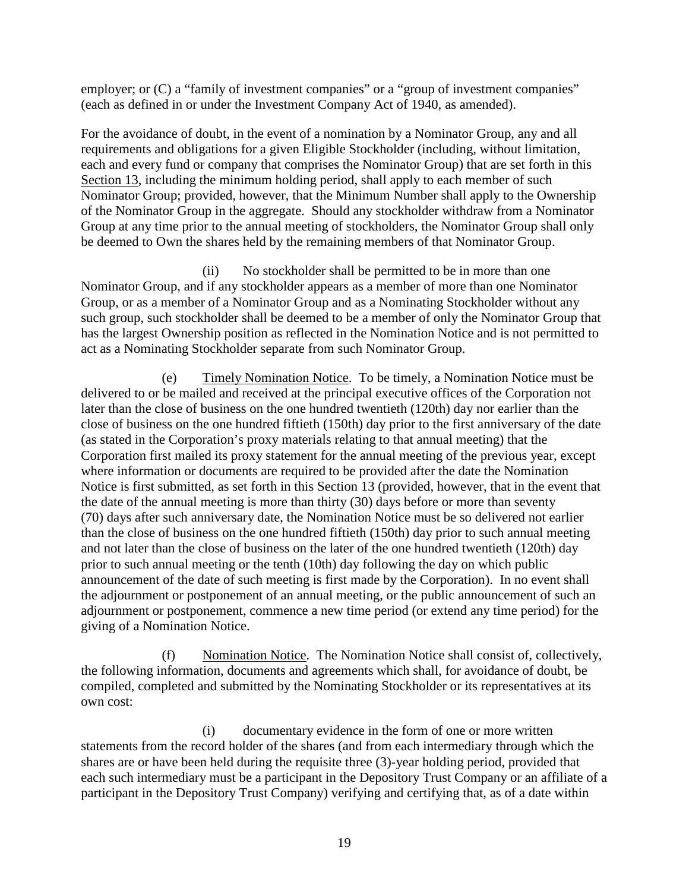employer; or  $(C)$  a "family of investment companies" or a "group of investment companies" (each as defined in or under the Investment Company Act of 1940, as amended).

For the avoidance of doubt, in the event of a nomination by a Nominator Group, any and all requirements and obligations for a given Eligible Stockholder (including, without limitation, each and every fund or company that comprises the Nominator Group) that are set forth in this [Section 13,](#page-18-0) including the minimum holding period, shall apply to each member of such Nominator Group; provided, however, that the Minimum Number shall apply to the Ownership of the Nominator Group in the aggregate. Should any stockholder withdraw from a Nominator Group at any time prior to the annual meeting of stockholders, the Nominator Group shall only be deemed to Own the shares held by the remaining members of that Nominator Group.

(ii) No stockholder shall be permitted to be in more than one Nominator Group, and if any stockholder appears as a member of more than one Nominator Group, or as a member of a Nominator Group and as a Nominating Stockholder without any such group, such stockholder shall be deemed to be a member of only the Nominator Group that has the largest Ownership position as reflected in the Nomination Notice and is not permitted to act as a Nominating Stockholder separate from such Nominator Group.

<span id="page-22-0"></span>(e) Timely Nomination Notice. To be timely, a Nomination Notice must be delivered to or be mailed and received at the principal executive offices of the Corporation not later than the close of business on the one hundred twentieth (120th) day nor earlier than the close of business on the one hundred fiftieth (150th) day prior to the first anniversary of the date (as stated in the Corporation's proxy materials relating to that annual meeting) that the Corporation first mailed its proxy statement for the annual meeting of the previous year, except where information or documents are required to be provided after the date the Nomination Notice is first submitted, as set forth in this Section 13 (provided, however, that in the event that the date of the annual meeting is more than thirty (30) days before or more than seventy (70) days after such anniversary date, the Nomination Notice must be so delivered not earlier than the close of business on the one hundred fiftieth (150th) day prior to such annual meeting and not later than the close of business on the later of the one hundred twentieth (120th) day prior to such annual meeting or the tenth (10th) day following the day on which public announcement of the date of such meeting is first made by the Corporation). In no event shall the adjournment or postponement of an annual meeting, or the public announcement of such an adjournment or postponement, commence a new time period (or extend any time period) for the giving of a Nomination Notice.

(f) Nomination Notice. The Nomination Notice shall consist of, collectively, the following information, documents and agreements which shall, for avoidance of doubt, be compiled, completed and submitted by the Nominating Stockholder or its representatives at its own cost:

(i) documentary evidence in the form of one or more written statements from the record holder of the shares (and from each intermediary through which the shares are or have been held during the requisite three (3)-year holding period, provided that each such intermediary must be a participant in the Depository Trust Company or an affiliate of a participant in the Depository Trust Company) verifying and certifying that, as of a date within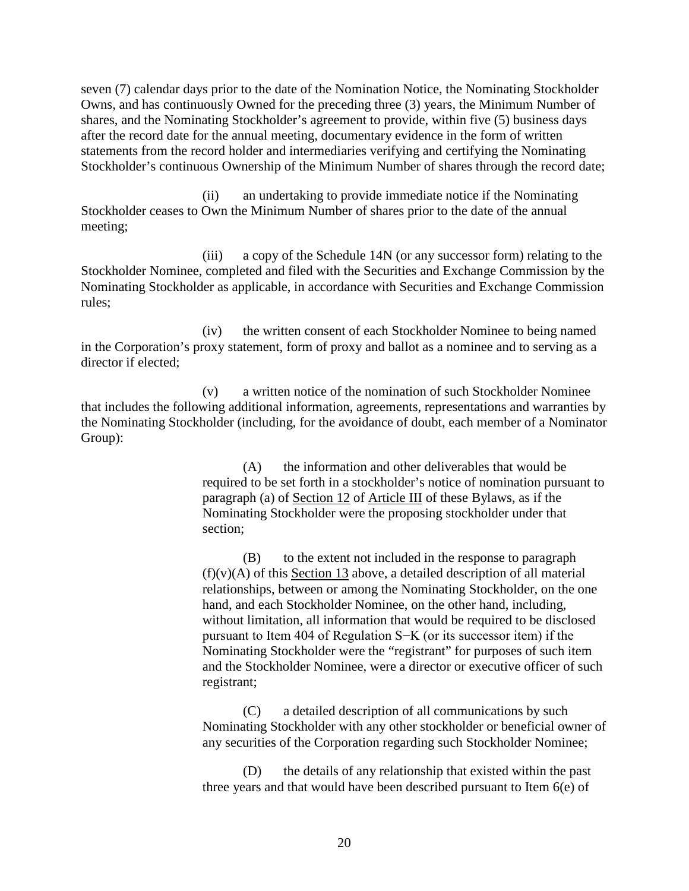seven (7) calendar days prior to the date of the Nomination Notice, the Nominating Stockholder Owns, and has continuously Owned for the preceding three (3) years, the Minimum Number of shares, and the Nominating Stockholder's agreement to provide, within five (5) business days after the record date for the annual meeting, documentary evidence in the form of written statements from the record holder and intermediaries verifying and certifying the Nominating Stockholder's continuous Ownership of the Minimum Number of shares through the record date;

(ii) an undertaking to provide immediate notice if the Nominating Stockholder ceases to Own the Minimum Number of shares prior to the date of the annual meeting;

(iii) a copy of the Schedule 14N (or any successor form) relating to the Stockholder Nominee, completed and filed with the Securities and Exchange Commission by the Nominating Stockholder as applicable, in accordance with Securities and Exchange Commission rules;

(iv) the written consent of each Stockholder Nominee to being named in the Corporation's proxy statement, form of proxy and ballot as a nominee and to serving as a director if elected;

(v) a written notice of the nomination of such Stockholder Nominee that includes the following additional information, agreements, representations and warranties by the Nominating Stockholder (including, for the avoidance of doubt, each member of a Nominator Group):

> (A) the information and other deliverables that would be required to be set forth in a stockholder's notice of nomination pursuant to paragraph (a) of [Section 12](#page-7-1) of [Article III](#page-4-7) of these Bylaws, as if the Nominating Stockholder were the proposing stockholder under that section;

> (B) to the extent not included in the response to paragraph  $(f)(v)(A)$  of this [Section 13](#page-18-0) above, a detailed description of all material relationships, between or among the Nominating Stockholder, on the one hand, and each Stockholder Nominee, on the other hand, including, without limitation, all information that would be required to be disclosed pursuant to Item 404 of Regulation S−K (or its successor item) if the Nominating Stockholder were the "registrant" for purposes of such item and the Stockholder Nominee, were a director or executive officer of such registrant;

(C) a detailed description of all communications by such Nominating Stockholder with any other stockholder or beneficial owner of any securities of the Corporation regarding such Stockholder Nominee;

(D) the details of any relationship that existed within the past three years and that would have been described pursuant to Item 6(e) of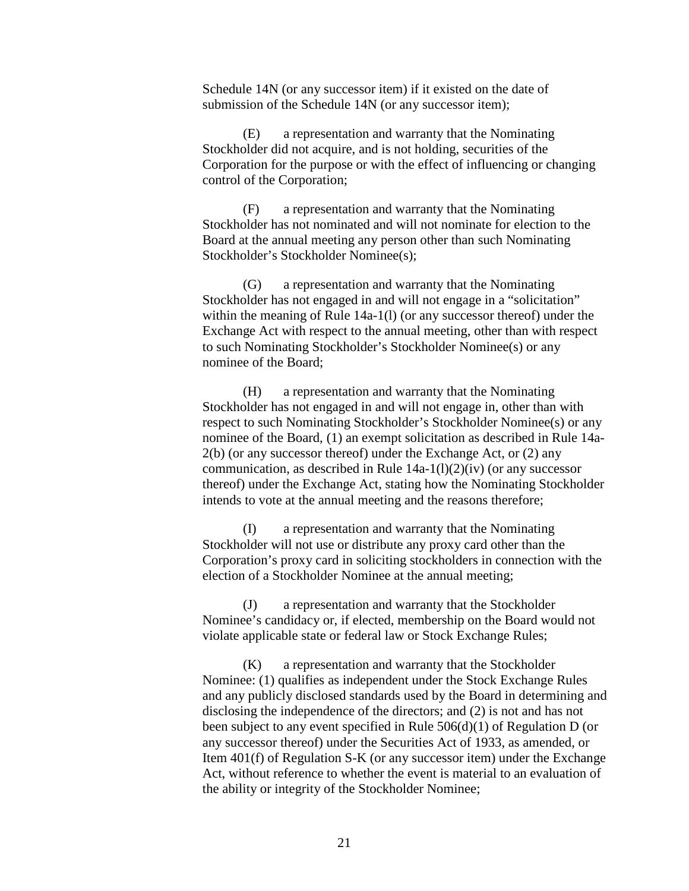Schedule 14N (or any successor item) if it existed on the date of submission of the Schedule 14N (or any successor item);

(E) a representation and warranty that the Nominating Stockholder did not acquire, and is not holding, securities of the Corporation for the purpose or with the effect of influencing or changing control of the Corporation;

(F) a representation and warranty that the Nominating Stockholder has not nominated and will not nominate for election to the Board at the annual meeting any person other than such Nominating Stockholder's Stockholder Nominee(s);

(G) a representation and warranty that the Nominating Stockholder has not engaged in and will not engage in a "solicitation" within the meaning of Rule 14a-1(l) (or any successor thereof) under the Exchange Act with respect to the annual meeting, other than with respect to such Nominating Stockholder's Stockholder Nominee(s) or any nominee of the Board;

(H) a representation and warranty that the Nominating Stockholder has not engaged in and will not engage in, other than with respect to such Nominating Stockholder's Stockholder Nominee(s) or any nominee of the Board, (1) an exempt solicitation as described in Rule 14a-2(b) (or any successor thereof) under the Exchange Act, or (2) any communication, as described in Rule  $14a-1(1)(2)(iv)$  (or any successor thereof) under the Exchange Act, stating how the Nominating Stockholder intends to vote at the annual meeting and the reasons therefore;

(I) a representation and warranty that the Nominating Stockholder will not use or distribute any proxy card other than the Corporation's proxy card in soliciting stockholders in connection with the election of a Stockholder Nominee at the annual meeting;

(J) a representation and warranty that the Stockholder Nominee's candidacy or, if elected, membership on the Board would not violate applicable state or federal law or Stock Exchange Rules;

(K) a representation and warranty that the Stockholder Nominee: (1) qualifies as independent under the Stock Exchange Rules and any publicly disclosed standards used by the Board in determining and disclosing the independence of the directors; and (2) is not and has not been subject to any event specified in Rule 506(d)(1) of Regulation D (or any successor thereof) under the Securities Act of 1933, as amended, or Item 401(f) of Regulation S-K (or any successor item) under the Exchange Act, without reference to whether the event is material to an evaluation of the ability or integrity of the Stockholder Nominee;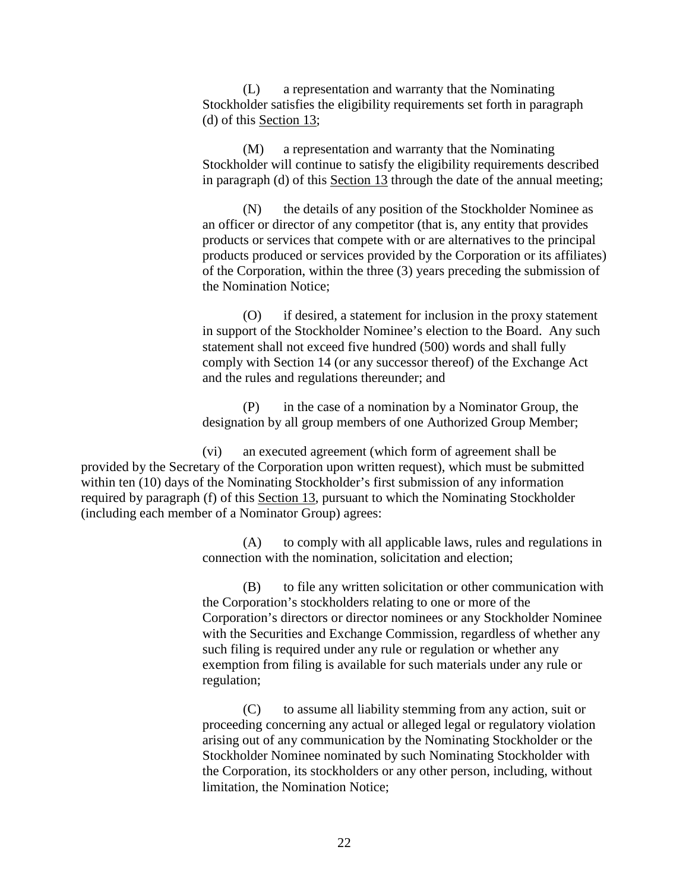(L) a representation and warranty that the Nominating Stockholder satisfies the eligibility requirements set forth in paragraph (d) of this [Section 13;](#page-18-0)

(M) a representation and warranty that the Nominating Stockholder will continue to satisfy the eligibility requirements described in paragraph (d) of this [Section 13](#page-18-0) through the date of the annual meeting;

(N) the details of any position of the Stockholder Nominee as an officer or director of any competitor (that is, any entity that provides products or services that compete with or are alternatives to the principal products produced or services provided by the Corporation or its affiliates) of the Corporation, within the three (3) years preceding the submission of the Nomination Notice;

(O) if desired, a statement for inclusion in the proxy statement in support of the Stockholder Nominee's election to the Board. Any such statement shall not exceed five hundred (500) words and shall fully comply with [Section 14](#page-29-0) (or any successor thereof) of the Exchange Act and the rules and regulations thereunder; and

(P) in the case of a nomination by a Nominator Group, the designation by all group members of one Authorized Group Member;

(vi) an executed agreement (which form of agreement shall be provided by the Secretary of the Corporation upon written request), which must be submitted within ten (10) days of the Nominating Stockholder's first submission of any information required by paragraph (f) of this [Section 13,](#page-18-0) pursuant to which the Nominating Stockholder (including each member of a Nominator Group) agrees:

> (A) to comply with all applicable laws, rules and regulations in connection with the nomination, solicitation and election;

> (B) to file any written solicitation or other communication with the Corporation's stockholders relating to one or more of the Corporation's directors or director nominees or any Stockholder Nominee with the Securities and Exchange Commission, regardless of whether any such filing is required under any rule or regulation or whether any exemption from filing is available for such materials under any rule or regulation;

(C) to assume all liability stemming from any action, suit or proceeding concerning any actual or alleged legal or regulatory violation arising out of any communication by the Nominating Stockholder or the Stockholder Nominee nominated by such Nominating Stockholder with the Corporation, its stockholders or any other person, including, without limitation, the Nomination Notice;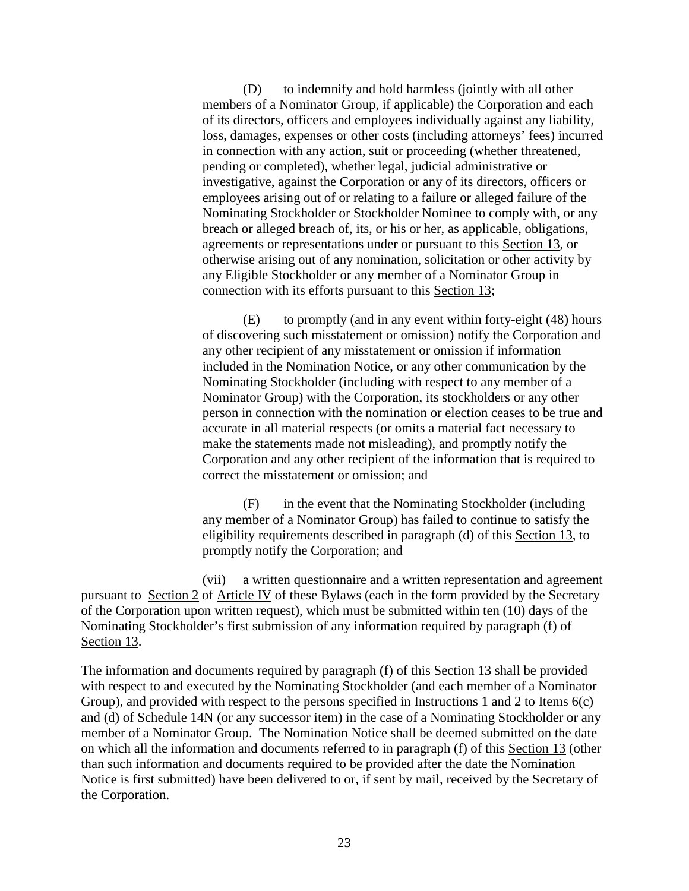(D) to indemnify and hold harmless (jointly with all other members of a Nominator Group, if applicable) the Corporation and each of its directors, officers and employees individually against any liability, loss, damages, expenses or other costs (including attorneys' fees) incurred in connection with any action, suit or proceeding (whether threatened, pending or completed), whether legal, judicial administrative or investigative, against the Corporation or any of its directors, officers or employees arising out of or relating to a failure or alleged failure of the Nominating Stockholder or Stockholder Nominee to comply with, or any breach or alleged breach of, its, or his or her, as applicable, obligations, agreements or representations under or pursuant to this [Section 13,](#page-18-0) or otherwise arising out of any nomination, solicitation or other activity by any Eligible Stockholder or any member of a Nominator Group in connection with its efforts pursuant to this [Section 13;](#page-18-0)

(E) to promptly (and in any event within forty-eight (48) hours of discovering such misstatement or omission) notify the Corporation and any other recipient of any misstatement or omission if information included in the Nomination Notice, or any other communication by the Nominating Stockholder (including with respect to any member of a Nominator Group) with the Corporation, its stockholders or any other person in connection with the nomination or election ceases to be true and accurate in all material respects (or omits a material fact necessary to make the statements made not misleading), and promptly notify the Corporation and any other recipient of the information that is required to correct the misstatement or omission; and

(F) in the event that the Nominating Stockholder (including any member of a Nominator Group) has failed to continue to satisfy the eligibility requirements described in paragraph (d) of this [Section 13,](#page-18-0) to promptly notify the Corporation; and

(vii) a written questionnaire and a written representation and agreement pursuant to [Section 2](#page-30-2) of Article IV of these Bylaws (each in the form provided by the Secretary of the Corporation upon written request), which must be submitted within ten (10) days of the Nominating Stockholder's first submission of any information required by paragraph (f) of [Section 13.](#page-18-0)

The information and documents required by paragraph (f) of this [Section 13](#page-18-0) shall be provided with respect to and executed by the Nominating Stockholder (and each member of a Nominator Group), and provided with respect to the persons specified in Instructions 1 and 2 to Items 6(c) and (d) of Schedule 14N (or any successor item) in the case of a Nominating Stockholder or any member of a Nominator Group. The Nomination Notice shall be deemed submitted on the date on which all the information and documents referred to in paragraph (f) of this [Section 13](#page-18-0) (other than such information and documents required to be provided after the date the Nomination Notice is first submitted) have been delivered to or, if sent by mail, received by the Secretary of the Corporation.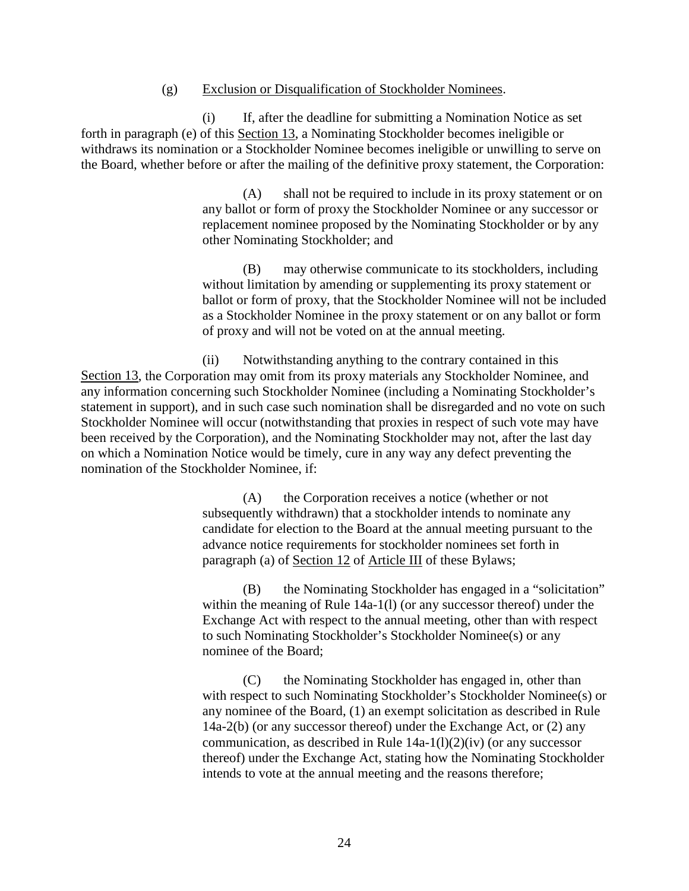#### (g) Exclusion or Disqualification of Stockholder Nominees.

(i) If, after the deadline for submitting a Nomination Notice as set forth in paragraph (e) of this [Section 13,](#page-18-0) a Nominating Stockholder becomes ineligible or withdraws its nomination or a Stockholder Nominee becomes ineligible or unwilling to serve on the Board, whether before or after the mailing of the definitive proxy statement, the Corporation:

> (A) shall not be required to include in its proxy statement or on any ballot or form of proxy the Stockholder Nominee or any successor or replacement nominee proposed by the Nominating Stockholder or by any other Nominating Stockholder; and

> (B) may otherwise communicate to its stockholders, including without limitation by amending or supplementing its proxy statement or ballot or form of proxy, that the Stockholder Nominee will not be included as a Stockholder Nominee in the proxy statement or on any ballot or form of proxy and will not be voted on at the annual meeting.

(ii) Notwithstanding anything to the contrary contained in this [Section](#page-18-0) 13, the Corporation may omit from its proxy materials any Stockholder Nominee, and any information concerning such Stockholder Nominee (including a Nominating Stockholder's statement in support), and in such case such nomination shall be disregarded and no vote on such Stockholder Nominee will occur (notwithstanding that proxies in respect of such vote may have been received by the Corporation), and the Nominating Stockholder may not, after the last day on which a Nomination Notice would be timely, cure in any way any defect preventing the nomination of the Stockholder Nominee, if:

> (A) the Corporation receives a notice (whether or not subsequently withdrawn) that a stockholder intends to nominate any candidate for election to the Board at the annual meeting pursuant to the advance notice requirements for stockholder nominees set forth in paragraph (a) of [Section 12](#page-7-1) of [Article III](#page-4-7) of these Bylaws;

(B) the Nominating Stockholder has engaged in a "solicitation" within the meaning of Rule 14a-1(l) (or any successor thereof) under the Exchange Act with respect to the annual meeting, other than with respect to such Nominating Stockholder's Stockholder Nominee(s) or any nominee of the Board;

(C) the Nominating Stockholder has engaged in, other than with respect to such Nominating Stockholder's Stockholder Nominee(s) or any nominee of the Board, (1) an exempt solicitation as described in Rule 14a-2(b) (or any successor thereof) under the Exchange Act, or (2) any communication, as described in Rule  $14a-1(1)(2)(iv)$  (or any successor thereof) under the Exchange Act, stating how the Nominating Stockholder intends to vote at the annual meeting and the reasons therefore;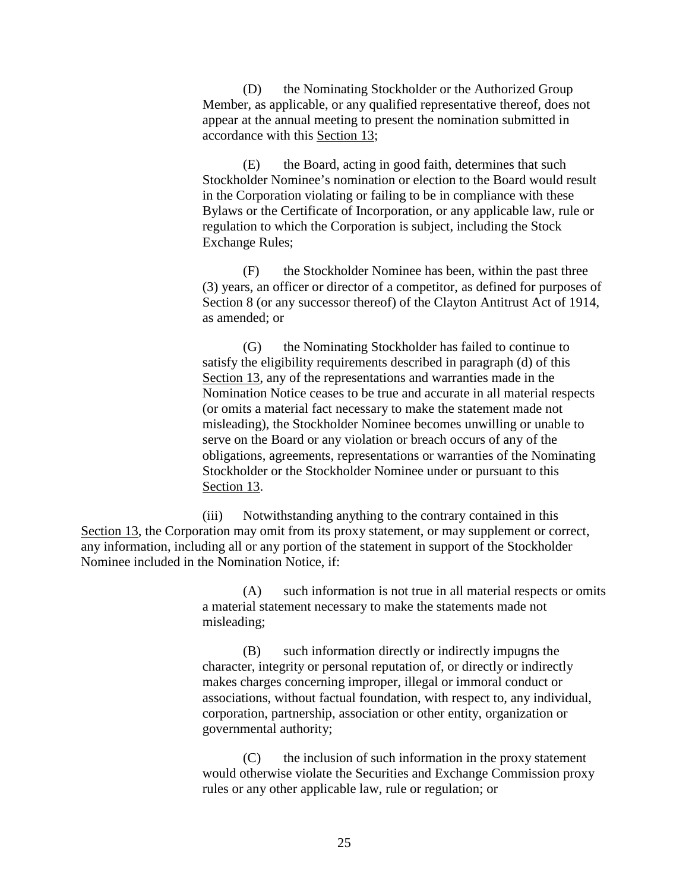(D) the Nominating Stockholder or the Authorized Group Member, as applicable, or any qualified representative thereof, does not appear at the annual meeting to present the nomination submitted in accordance with this [Section 13;](#page-18-0)

(E) the Board, acting in good faith, determines that such Stockholder Nominee's nomination or election to the Board would result in the Corporation violating or failing to be in compliance with these Bylaws or the Certificate of Incorporation, or any applicable law, rule or regulation to which the Corporation is subject, including the Stock Exchange Rules;

(F) the Stockholder Nominee has been, within the past three (3) years, an officer or director of a competitor, as defined for purposes of Section 8 (or any successor thereof) of the Clayton Antitrust Act of 1914, as amended; or

(G) the Nominating Stockholder has failed to continue to satisfy the eligibility requirements described in paragraph (d) of this [Section 13,](#page-18-0) any of the representations and warranties made in the Nomination Notice ceases to be true and accurate in all material respects (or omits a material fact necessary to make the statement made not misleading), the Stockholder Nominee becomes unwilling or unable to serve on the Board or any violation or breach occurs of any of the obligations, agreements, representations or warranties of the Nominating Stockholder or the Stockholder Nominee under or pursuant to this [Section](#page-18-0) 13.

(iii) Notwithstanding anything to the contrary contained in this [Section](#page-18-0) 13, the Corporation may omit from its proxy statement, or may supplement or correct, any information, including all or any portion of the statement in support of the Stockholder Nominee included in the Nomination Notice, if:

> (A) such information is not true in all material respects or omits a material statement necessary to make the statements made not misleading;

(B) such information directly or indirectly impugns the character, integrity or personal reputation of, or directly or indirectly makes charges concerning improper, illegal or immoral conduct or associations, without factual foundation, with respect to, any individual, corporation, partnership, association or other entity, organization or governmental authority;

(C) the inclusion of such information in the proxy statement would otherwise violate the Securities and Exchange Commission proxy rules or any other applicable law, rule or regulation; or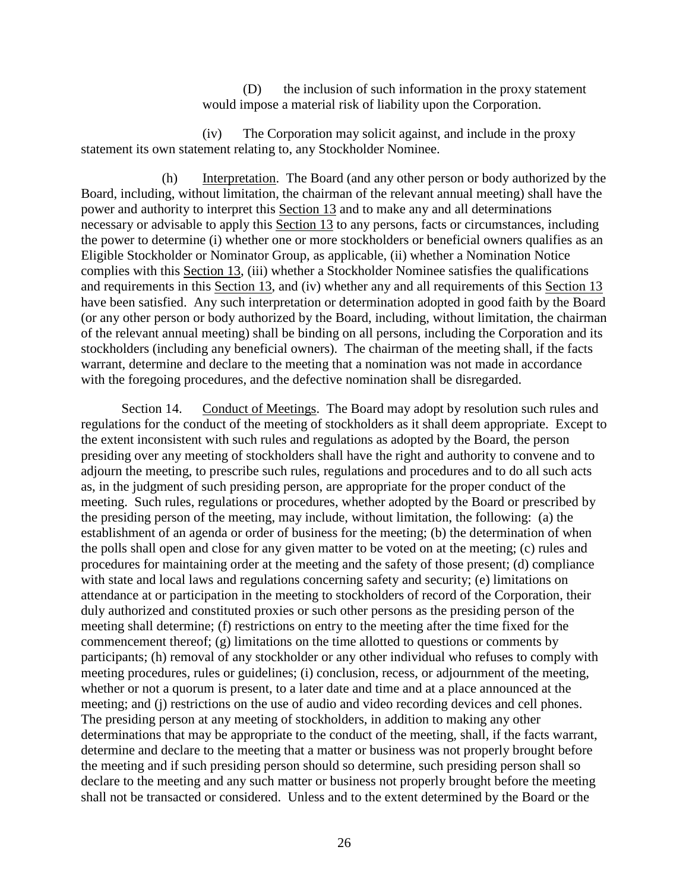(D) the inclusion of such information in the proxy statement would impose a material risk of liability upon the Corporation.

(iv) The Corporation may solicit against, and include in the proxy statement its own statement relating to, any Stockholder Nominee.

(h) Interpretation. The Board (and any other person or body authorized by the Board, including, without limitation, the chairman of the relevant annual meeting) shall have the power and authority to interpret this [Section 13](#page-18-0) and to make any and all determinations necessary or advisable to apply this [Section 13](#page-18-0) to any persons, facts or circumstances, including the power to determine (i) whether one or more stockholders or beneficial owners qualifies as an Eligible Stockholder or Nominator Group, as applicable, (ii) whether a Nomination Notice complies with this [Section 13,](#page-18-0) (iii) whether a Stockholder Nominee satisfies the qualifications and requirements in this [Section 13,](#page-18-0) and (iv) whether any and all requirements of this [Section 13](#page-18-0) have been satisfied. Any such interpretation or determination adopted in good faith by the Board (or any other person or body authorized by the Board, including, without limitation, the chairman of the relevant annual meeting) shall be binding on all persons, including the Corporation and its stockholders (including any beneficial owners). The chairman of the meeting shall, if the facts warrant, determine and declare to the meeting that a nomination was not made in accordance with the foregoing procedures, and the defective nomination shall be disregarded.

<span id="page-29-0"></span>Section 14. Conduct of Meetings. The Board may adopt by resolution such rules and regulations for the conduct of the meeting of stockholders as it shall deem appropriate. Except to the extent inconsistent with such rules and regulations as adopted by the Board, the person presiding over any meeting of stockholders shall have the right and authority to convene and to adjourn the meeting, to prescribe such rules, regulations and procedures and to do all such acts as, in the judgment of such presiding person, are appropriate for the proper conduct of the meeting. Such rules, regulations or procedures, whether adopted by the Board or prescribed by the presiding person of the meeting, may include, without limitation, the following: (a) the establishment of an agenda or order of business for the meeting; (b) the determination of when the polls shall open and close for any given matter to be voted on at the meeting; (c) rules and procedures for maintaining order at the meeting and the safety of those present; (d) compliance with state and local laws and regulations concerning safety and security; (e) limitations on attendance at or participation in the meeting to stockholders of record of the Corporation, their duly authorized and constituted proxies or such other persons as the presiding person of the meeting shall determine; (f) restrictions on entry to the meeting after the time fixed for the commencement thereof; (g) limitations on the time allotted to questions or comments by participants; (h) removal of any stockholder or any other individual who refuses to comply with meeting procedures, rules or guidelines; (i) conclusion, recess, or adjournment of the meeting, whether or not a quorum is present, to a later date and time and at a place announced at the meeting; and (j) restrictions on the use of audio and video recording devices and cell phones. The presiding person at any meeting of stockholders, in addition to making any other determinations that may be appropriate to the conduct of the meeting, shall, if the facts warrant, determine and declare to the meeting that a matter or business was not properly brought before the meeting and if such presiding person should so determine, such presiding person shall so declare to the meeting and any such matter or business not properly brought before the meeting shall not be transacted or considered. Unless and to the extent determined by the Board or the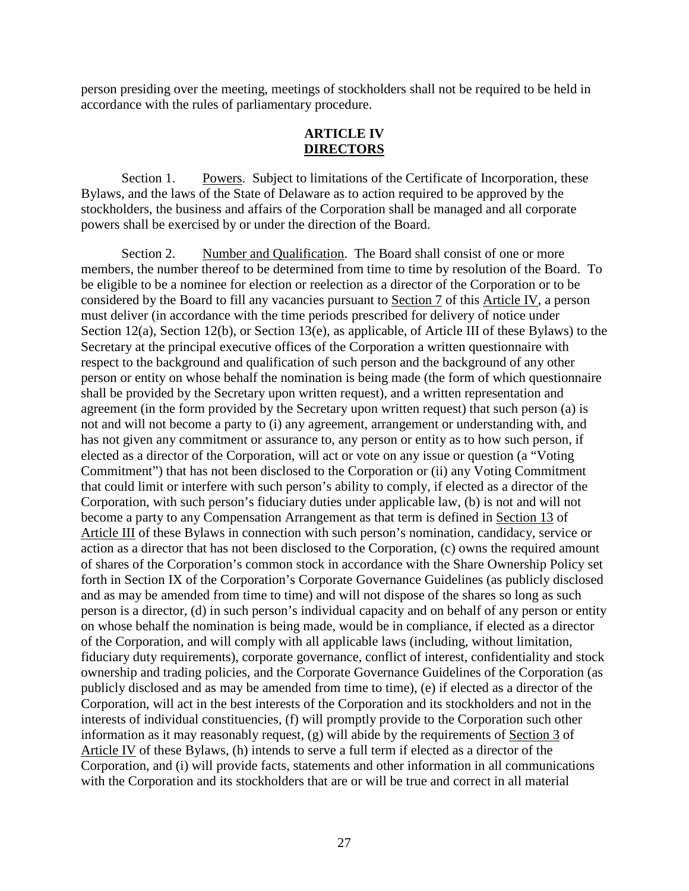<span id="page-30-0"></span>person presiding over the meeting, meetings of stockholders shall not be required to be held in accordance with the rules of parliamentary procedure.

#### **ARTICLE IV DIRECTORS**

<span id="page-30-3"></span><span id="page-30-1"></span>Section 1. Powers. Subject to limitations of the Certificate of Incorporation, these Bylaws, and the laws of the State of Delaware as to action required to be approved by the stockholders, the business and affairs of the Corporation shall be managed and all corporate powers shall be exercised by or under the direction of the Board.

<span id="page-30-2"></span>Section 2. Number and Qualification. The Board shall consist of one or more members, the number thereof to be determined from time to time by resolution of the Board. To be eligible to be a nominee for election or reelection as a director of the Corporation or to be considered by the Board to fill any vacancies pursuant to [Section 7](#page-32-3) of this [Article IV,](#page-30-3) a person must deliver (in accordance with the time periods prescribed for delivery of notice under [Section](#page-7-2) 12(a), [Section 12\(b\),](#page-15-0) or [Section 13\(e\),](#page-22-0) as applicable, of [Article III](#page-4-7) of these Bylaws) to the Secretary at the principal executive offices of the Corporation a written questionnaire with respect to the background and qualification of such person and the background of any other person or entity on whose behalf the nomination is being made (the form of which questionnaire shall be provided by the Secretary upon written request), and a written representation and agreement (in the form provided by the Secretary upon written request) that such person (a) is not and will not become a party to (i) any agreement, arrangement or understanding with, and has not given any commitment or assurance to, any person or entity as to how such person, if elected as a director of the Corporation, will act or vote on any issue or question (a "Voting Commitment") that has not been disclosed to the Corporation or (ii) any Voting Commitment that could limit or interfere with such person's ability to comply, if elected as a director of the Corporation, with such person's fiduciary duties under applicable law, (b) is not and will not become a party to any Compensation Arrangement as that term is defined in [Section 13](#page-18-0) of [Article III](#page-4-7) of these Bylaws in connection with such person's nomination, candidacy, service or action as a director that has not been disclosed to the Corporation, (c) owns the required amount of shares of the Corporation's common stock in accordance with the Share Ownership Policy set forth in Section IX of the Corporation's Corporate Governance Guidelines (as publicly disclosed and as may be amended from time to time) and will not dispose of the shares so long as such person is a director, (d) in such person's individual capacity and on behalf of any person or entity on whose behalf the nomination is being made, would be in compliance, if elected as a director of the Corporation, and will comply with all applicable laws (including, without limitation, fiduciary duty requirements), corporate governance, conflict of interest, confidentiality and stock ownership and trading policies, and the Corporate Governance Guidelines of the Corporation (as publicly disclosed and as may be amended from time to time), (e) if elected as a director of the Corporation, will act in the best interests of the Corporation and its stockholders and not in the interests of individual constituencies, (f) will promptly provide to the Corporation such other information as it may reasonably request,  $(g)$  will abide by the requirements of [Section 3](#page-31-0) of [Article IV](#page-30-3) of these Bylaws, (h) intends to serve a full term if elected as a director of the Corporation, and (i) will provide facts, statements and other information in all communications with the Corporation and its stockholders that are or will be true and correct in all material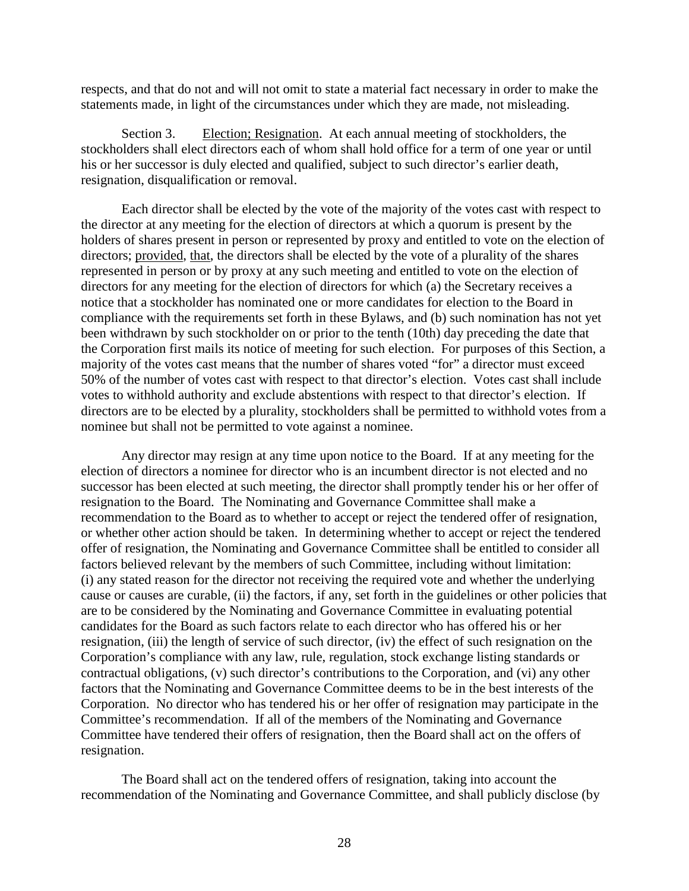respects, and that do not and will not omit to state a material fact necessary in order to make the statements made, in light of the circumstances under which they are made, not misleading.

<span id="page-31-0"></span>Section 3. Election; Resignation. At each annual meeting of stockholders, the stockholders shall elect directors each of whom shall hold office for a term of one year or until his or her successor is duly elected and qualified, subject to such director's earlier death, resignation, disqualification or removal.

Each director shall be elected by the vote of the majority of the votes cast with respect to the director at any meeting for the election of directors at which a quorum is present by the holders of shares present in person or represented by proxy and entitled to vote on the election of directors; provided, that, the directors shall be elected by the vote of a plurality of the shares represented in person or by proxy at any such meeting and entitled to vote on the election of directors for any meeting for the election of directors for which (a) the Secretary receives a notice that a stockholder has nominated one or more candidates for election to the Board in compliance with the requirements set forth in these Bylaws, and (b) such nomination has not yet been withdrawn by such stockholder on or prior to the tenth (10th) day preceding the date that the Corporation first mails its notice of meeting for such election. For purposes of this Section, a majority of the votes cast means that the number of shares voted "for" a director must exceed 50% of the number of votes cast with respect to that director's election. Votes cast shall include votes to withhold authority and exclude abstentions with respect to that director's election. If directors are to be elected by a plurality, stockholders shall be permitted to withhold votes from a nominee but shall not be permitted to vote against a nominee.

Any director may resign at any time upon notice to the Board. If at any meeting for the election of directors a nominee for director who is an incumbent director is not elected and no successor has been elected at such meeting, the director shall promptly tender his or her offer of resignation to the Board. The Nominating and Governance Committee shall make a recommendation to the Board as to whether to accept or reject the tendered offer of resignation, or whether other action should be taken. In determining whether to accept or reject the tendered offer of resignation, the Nominating and Governance Committee shall be entitled to consider all factors believed relevant by the members of such Committee, including without limitation: (i) any stated reason for the director not receiving the required vote and whether the underlying cause or causes are curable, (ii) the factors, if any, set forth in the guidelines or other policies that are to be considered by the Nominating and Governance Committee in evaluating potential candidates for the Board as such factors relate to each director who has offered his or her resignation, (iii) the length of service of such director, (iv) the effect of such resignation on the Corporation's compliance with any law, rule, regulation, stock exchange listing standards or contractual obligations, (v) such director's contributions to the Corporation, and (vi) any other factors that the Nominating and Governance Committee deems to be in the best interests of the Corporation. No director who has tendered his or her offer of resignation may participate in the Committee's recommendation. If all of the members of the Nominating and Governance Committee have tendered their offers of resignation, then the Board shall act on the offers of resignation.

The Board shall act on the tendered offers of resignation, taking into account the recommendation of the Nominating and Governance Committee, and shall publicly disclose (by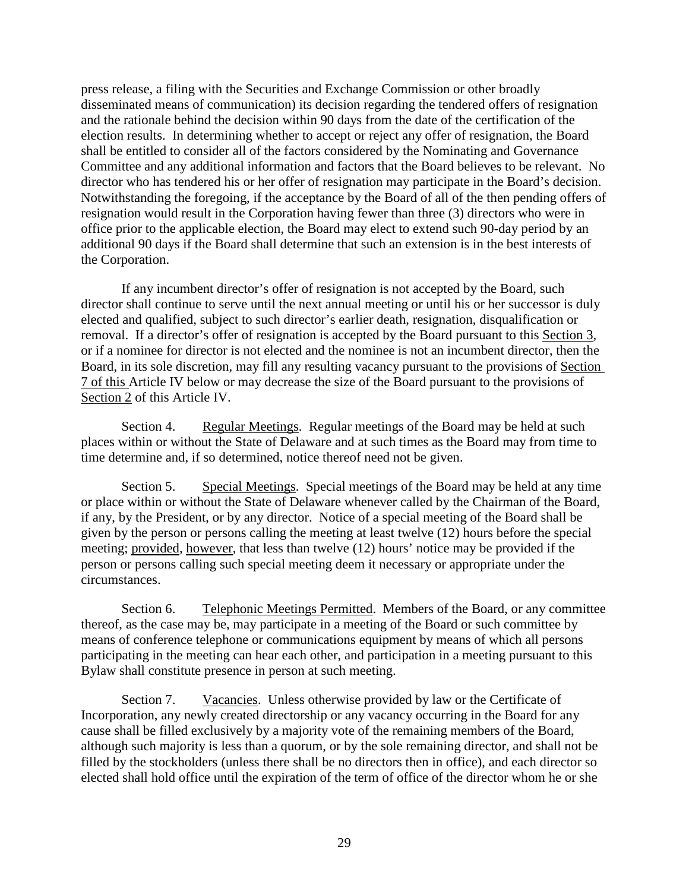press release, a filing with the Securities and Exchange Commission or other broadly disseminated means of communication) its decision regarding the tendered offers of resignation and the rationale behind the decision within 90 days from the date of the certification of the election results. In determining whether to accept or reject any offer of resignation, the Board shall be entitled to consider all of the factors considered by the Nominating and Governance Committee and any additional information and factors that the Board believes to be relevant. No director who has tendered his or her offer of resignation may participate in the Board's decision. Notwithstanding the foregoing, if the acceptance by the Board of all of the then pending offers of resignation would result in the Corporation having fewer than three (3) directors who were in office prior to the applicable election, the Board may elect to extend such 90-day period by an additional 90 days if the Board shall determine that such an extension is in the best interests of the Corporation.

If any incumbent director's offer of resignation is not accepted by the Board, such director shall continue to serve until the next annual meeting or until his or her successor is duly elected and qualified, subject to such director's earlier death, resignation, disqualification or removal. If a director's offer of resignation is accepted by the Board pursuant to this [Section 3,](#page-31-0) or if a nominee for director is not elected and the nominee is not an incumbent director, then the Board, in its sole discretion, may fill any resulting vacancy pursuant to the provisions of [Section](#page-32-3)  [7](#page-32-3) of this [Article IV](#page-30-3) below or may decrease the size of the Board pursuant to the provisions of [Section 2](#page-30-2) of this [Article IV.](#page-30-3)

<span id="page-32-0"></span>Section 4. Regular Meetings. Regular meetings of the Board may be held at such places within or without the State of Delaware and at such times as the Board may from time to time determine and, if so determined, notice thereof need not be given.

<span id="page-32-1"></span>Section 5. Special Meetings. Special meetings of the Board may be held at any time or place within or without the State of Delaware whenever called by the Chairman of the Board, if any, by the President, or by any director. Notice of a special meeting of the Board shall be given by the person or persons calling the meeting at least twelve (12) hours before the special meeting; provided, however, that less than twelve (12) hours' notice may be provided if the person or persons calling such special meeting deem it necessary or appropriate under the circumstances.

<span id="page-32-2"></span>Section 6. Telephonic Meetings Permitted. Members of the Board, or any committee thereof, as the case may be, may participate in a meeting of the Board or such committee by means of conference telephone or communications equipment by means of which all persons participating in the meeting can hear each other, and participation in a meeting pursuant to this Bylaw shall constitute presence in person at such meeting.

<span id="page-32-3"></span>Section 7. Vacancies. Unless otherwise provided by law or the Certificate of Incorporation, any newly created directorship or any vacancy occurring in the Board for any cause shall be filled exclusively by a majority vote of the remaining members of the Board, although such majority is less than a quorum, or by the sole remaining director, and shall not be filled by the stockholders (unless there shall be no directors then in office), and each director so elected shall hold office until the expiration of the term of office of the director whom he or she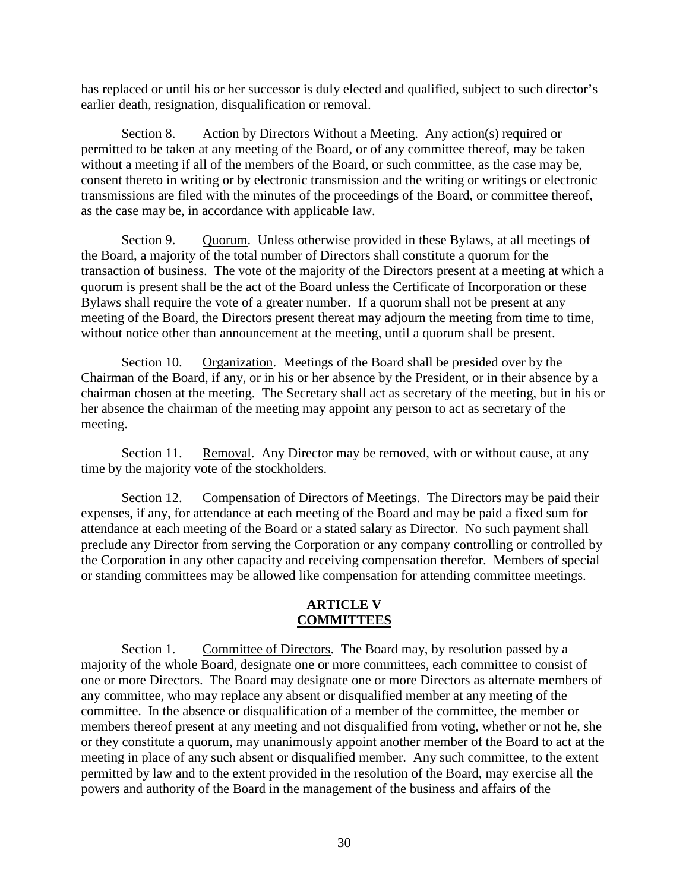has replaced or until his or her successor is duly elected and qualified, subject to such director's earlier death, resignation, disqualification or removal.

<span id="page-33-0"></span>Section 8. Action by Directors Without a Meeting. Any action(s) required or permitted to be taken at any meeting of the Board, or of any committee thereof, may be taken without a meeting if all of the members of the Board, or such committee, as the case may be, consent thereto in writing or by electronic transmission and the writing or writings or electronic transmissions are filed with the minutes of the proceedings of the Board, or committee thereof, as the case may be, in accordance with applicable law.

<span id="page-33-1"></span>Section 9. Quorum. Unless otherwise provided in these Bylaws, at all meetings of the Board, a majority of the total number of Directors shall constitute a quorum for the transaction of business. The vote of the majority of the Directors present at a meeting at which a quorum is present shall be the act of the Board unless the Certificate of Incorporation or these Bylaws shall require the vote of a greater number. If a quorum shall not be present at any meeting of the Board, the Directors present thereat may adjourn the meeting from time to time, without notice other than announcement at the meeting, until a quorum shall be present.

<span id="page-33-2"></span>Section 10. Organization. Meetings of the Board shall be presided over by the Chairman of the Board, if any, or in his or her absence by the President, or in their absence by a chairman chosen at the meeting. The Secretary shall act as secretary of the meeting, but in his or her absence the chairman of the meeting may appoint any person to act as secretary of the meeting.

<span id="page-33-3"></span>Section 11. Removal. Any Director may be removed, with or without cause, at any time by the majority vote of the stockholders.

<span id="page-33-4"></span>Section 12. Compensation of Directors of Meetings. The Directors may be paid their expenses, if any, for attendance at each meeting of the Board and may be paid a fixed sum for attendance at each meeting of the Board or a stated salary as Director. No such payment shall preclude any Director from serving the Corporation or any company controlling or controlled by the Corporation in any other capacity and receiving compensation therefor. Members of special or standing committees may be allowed like compensation for attending committee meetings.

#### **ARTICLE V COMMITTEES**

<span id="page-33-6"></span><span id="page-33-5"></span>Section 1. Committee of Directors. The Board may, by resolution passed by a majority of the whole Board, designate one or more committees, each committee to consist of one or more Directors. The Board may designate one or more Directors as alternate members of any committee, who may replace any absent or disqualified member at any meeting of the committee. In the absence or disqualification of a member of the committee, the member or members thereof present at any meeting and not disqualified from voting, whether or not he, she or they constitute a quorum, may unanimously appoint another member of the Board to act at the meeting in place of any such absent or disqualified member. Any such committee, to the extent permitted by law and to the extent provided in the resolution of the Board, may exercise all the powers and authority of the Board in the management of the business and affairs of the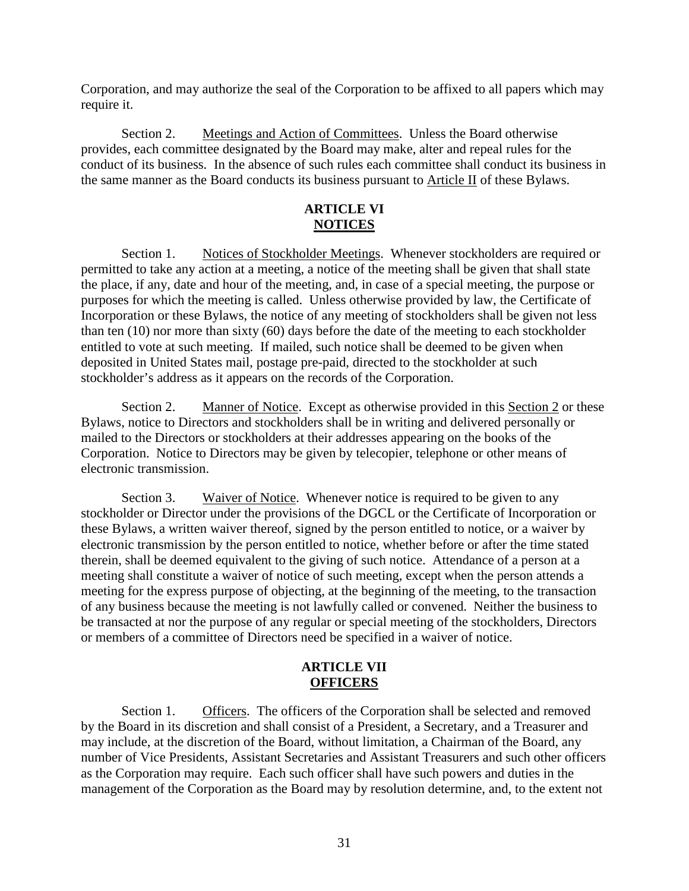Corporation, and may authorize the seal of the Corporation to be affixed to all papers which may require it.

<span id="page-34-0"></span>Section 2. Meetings and Action of Committees. Unless the Board otherwise provides, each committee designated by the Board may make, alter and repeal rules for the conduct of its business. In the absence of such rules each committee shall conduct its business in the same manner as the Board conducts its business pursuant to [Article II](#page-4-8) of these Bylaws.

# **ARTICLE VI NOTICES**

<span id="page-34-2"></span><span id="page-34-1"></span>Section 1. Notices of Stockholder Meetings. Whenever stockholders are required or permitted to take any action at a meeting, a notice of the meeting shall be given that shall state the place, if any, date and hour of the meeting, and, in case of a special meeting, the purpose or purposes for which the meeting is called. Unless otherwise provided by law, the Certificate of Incorporation or these Bylaws, the notice of any meeting of stockholders shall be given not less than ten (10) nor more than sixty (60) days before the date of the meeting to each stockholder entitled to vote at such meeting. If mailed, such notice shall be deemed to be given when deposited in United States mail, postage pre-paid, directed to the stockholder at such stockholder's address as it appears on the records of the Corporation.

<span id="page-34-3"></span>Section 2. Manner of Notice. Except as otherwise provided in this [Section 2](#page-34-0) or these Bylaws, notice to Directors and stockholders shall be in writing and delivered personally or mailed to the Directors or stockholders at their addresses appearing on the books of the Corporation. Notice to Directors may be given by telecopier, telephone or other means of electronic transmission.

<span id="page-34-4"></span>Section 3. Waiver of Notice. Whenever notice is required to be given to any stockholder or Director under the provisions of the DGCL or the Certificate of Incorporation or these Bylaws, a written waiver thereof, signed by the person entitled to notice, or a waiver by electronic transmission by the person entitled to notice, whether before or after the time stated therein, shall be deemed equivalent to the giving of such notice. Attendance of a person at a meeting shall constitute a waiver of notice of such meeting, except when the person attends a meeting for the express purpose of objecting, at the beginning of the meeting, to the transaction of any business because the meeting is not lawfully called or convened. Neither the business to be transacted at nor the purpose of any regular or special meeting of the stockholders, Directors or members of a committee of Directors need be specified in a waiver of notice.

#### **ARTICLE VII OFFICERS**

<span id="page-34-6"></span><span id="page-34-5"></span>Section 1. Officers. The officers of the Corporation shall be selected and removed by the Board in its discretion and shall consist of a President, a Secretary, and a Treasurer and may include, at the discretion of the Board, without limitation, a Chairman of the Board, any number of Vice Presidents, Assistant Secretaries and Assistant Treasurers and such other officers as the Corporation may require. Each such officer shall have such powers and duties in the management of the Corporation as the Board may by resolution determine, and, to the extent not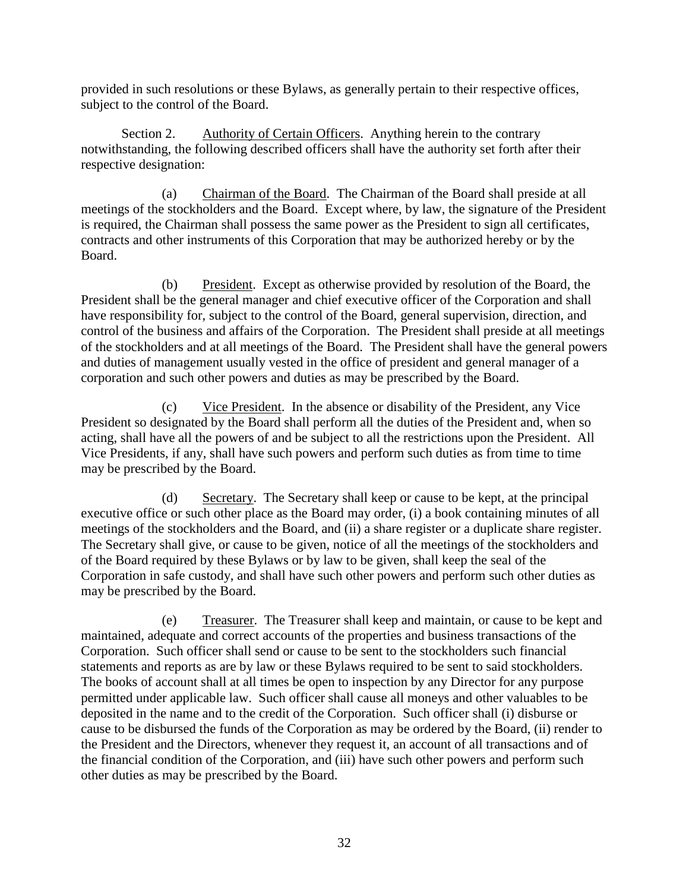provided in such resolutions or these Bylaws, as generally pertain to their respective offices, subject to the control of the Board.

<span id="page-35-0"></span>Section 2. Authority of Certain Officers. Anything herein to the contrary notwithstanding, the following described officers shall have the authority set forth after their respective designation:

(a) Chairman of the Board. The Chairman of the Board shall preside at all meetings of the stockholders and the Board. Except where, by law, the signature of the President is required, the Chairman shall possess the same power as the President to sign all certificates, contracts and other instruments of this Corporation that may be authorized hereby or by the Board.

(b) President. Except as otherwise provided by resolution of the Board, the President shall be the general manager and chief executive officer of the Corporation and shall have responsibility for, subject to the control of the Board, general supervision, direction, and control of the business and affairs of the Corporation. The President shall preside at all meetings of the stockholders and at all meetings of the Board. The President shall have the general powers and duties of management usually vested in the office of president and general manager of a corporation and such other powers and duties as may be prescribed by the Board.

(c) Vice President. In the absence or disability of the President, any Vice President so designated by the Board shall perform all the duties of the President and, when so acting, shall have all the powers of and be subject to all the restrictions upon the President. All Vice Presidents, if any, shall have such powers and perform such duties as from time to time may be prescribed by the Board.

(d) Secretary. The Secretary shall keep or cause to be kept, at the principal executive office or such other place as the Board may order, (i) a book containing minutes of all meetings of the stockholders and the Board, and (ii) a share register or a duplicate share register. The Secretary shall give, or cause to be given, notice of all the meetings of the stockholders and of the Board required by these Bylaws or by law to be given, shall keep the seal of the Corporation in safe custody, and shall have such other powers and perform such other duties as may be prescribed by the Board.

(e) Treasurer. The Treasurer shall keep and maintain, or cause to be kept and maintained, adequate and correct accounts of the properties and business transactions of the Corporation. Such officer shall send or cause to be sent to the stockholders such financial statements and reports as are by law or these Bylaws required to be sent to said stockholders. The books of account shall at all times be open to inspection by any Director for any purpose permitted under applicable law. Such officer shall cause all moneys and other valuables to be deposited in the name and to the credit of the Corporation. Such officer shall (i) disburse or cause to be disbursed the funds of the Corporation as may be ordered by the Board, (ii) render to the President and the Directors, whenever they request it, an account of all transactions and of the financial condition of the Corporation, and (iii) have such other powers and perform such other duties as may be prescribed by the Board.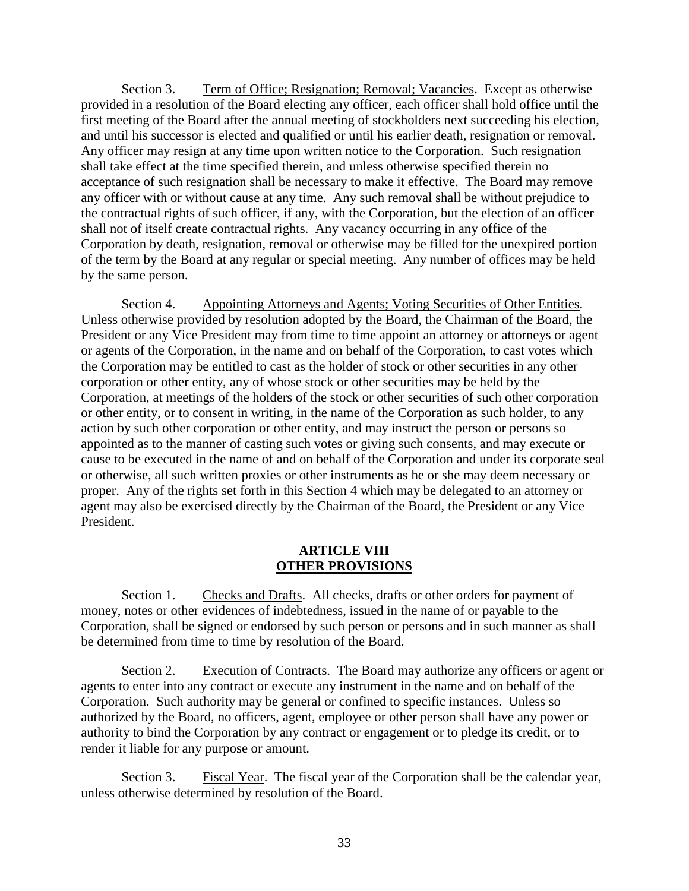<span id="page-36-0"></span>Section 3. Term of Office; Resignation; Removal; Vacancies. Except as otherwise provided in a resolution of the Board electing any officer, each officer shall hold office until the first meeting of the Board after the annual meeting of stockholders next succeeding his election, and until his successor is elected and qualified or until his earlier death, resignation or removal. Any officer may resign at any time upon written notice to the Corporation. Such resignation shall take effect at the time specified therein, and unless otherwise specified therein no acceptance of such resignation shall be necessary to make it effective. The Board may remove any officer with or without cause at any time. Any such removal shall be without prejudice to the contractual rights of such officer, if any, with the Corporation, but the election of an officer shall not of itself create contractual rights. Any vacancy occurring in any office of the Corporation by death, resignation, removal or otherwise may be filled for the unexpired portion of the term by the Board at any regular or special meeting. Any number of offices may be held by the same person.

<span id="page-36-1"></span>Section 4. Appointing Attorneys and Agents; Voting Securities of Other Entities. Unless otherwise provided by resolution adopted by the Board, the Chairman of the Board, the President or any Vice President may from time to time appoint an attorney or attorneys or agent or agents of the Corporation, in the name and on behalf of the Corporation, to cast votes which the Corporation may be entitled to cast as the holder of stock or other securities in any other corporation or other entity, any of whose stock or other securities may be held by the Corporation, at meetings of the holders of the stock or other securities of such other corporation or other entity, or to consent in writing, in the name of the Corporation as such holder, to any action by such other corporation or other entity, and may instruct the person or persons so appointed as to the manner of casting such votes or giving such consents, and may execute or cause to be executed in the name of and on behalf of the Corporation and under its corporate seal or otherwise, all such written proxies or other instruments as he or she may deem necessary or proper. Any of the rights set forth in this [Section 4](#page-37-0) which may be delegated to an attorney or agent may also be exercised directly by the Chairman of the Board, the President or any Vice President.

#### **ARTICLE VIII OTHER PROVISIONS**

<span id="page-36-3"></span><span id="page-36-2"></span>Section 1. Checks and Drafts. All checks, drafts or other orders for payment of money, notes or other evidences of indebtedness, issued in the name of or payable to the Corporation, shall be signed or endorsed by such person or persons and in such manner as shall be determined from time to time by resolution of the Board.

<span id="page-36-4"></span>Section 2. Execution of Contracts. The Board may authorize any officers or agent or agents to enter into any contract or execute any instrument in the name and on behalf of the Corporation. Such authority may be general or confined to specific instances. Unless so authorized by the Board, no officers, agent, employee or other person shall have any power or authority to bind the Corporation by any contract or engagement or to pledge its credit, or to render it liable for any purpose or amount.

<span id="page-36-5"></span>Section 3. Fiscal Year. The fiscal year of the Corporation shall be the calendar year, unless otherwise determined by resolution of the Board.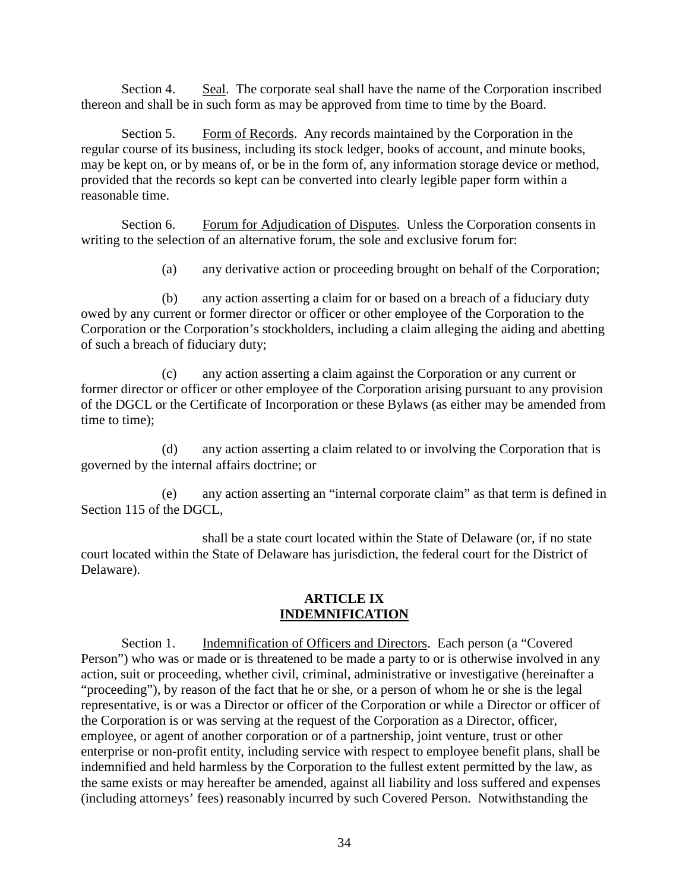<span id="page-37-0"></span>Section 4. Seal. The corporate seal shall have the name of the Corporation inscribed thereon and shall be in such form as may be approved from time to time by the Board.

<span id="page-37-1"></span>Section 5. Form of Records. Any records maintained by the Corporation in the regular course of its business, including its stock ledger, books of account, and minute books, may be kept on, or by means of, or be in the form of, any information storage device or method, provided that the records so kept can be converted into clearly legible paper form within a reasonable time.

<span id="page-37-2"></span>Section 6. Forum for Adjudication of Disputes. Unless the Corporation consents in writing to the selection of an alternative forum, the sole and exclusive forum for:

(a) any derivative action or proceeding brought on behalf of the Corporation;

(b) any action asserting a claim for or based on a breach of a fiduciary duty owed by any current or former director or officer or other employee of the Corporation to the Corporation or the Corporation's stockholders, including a claim alleging the aiding and abetting of such a breach of fiduciary duty;

(c) any action asserting a claim against the Corporation or any current or former director or officer or other employee of the Corporation arising pursuant to any provision of the DGCL or the Certificate of Incorporation or these Bylaws (as either may be amended from time to time);

(d) any action asserting a claim related to or involving the Corporation that is governed by the internal affairs doctrine; or

(e) any action asserting an "internal corporate claim" as that term is defined in Section 115 of the DGCL,

shall be a state court located within the State of Delaware (or, if no state court located within the State of Delaware has jurisdiction, the federal court for the District of Delaware).

#### **ARTICLE IX INDEMNIFICATION**

<span id="page-37-5"></span><span id="page-37-4"></span><span id="page-37-3"></span>Section 1. Indemnification of Officers and Directors. Each person (a "Covered" Person") who was or made or is threatened to be made a party to or is otherwise involved in any action, suit or proceeding, whether civil, criminal, administrative or investigative (hereinafter a "proceeding"), by reason of the fact that he or she, or a person of whom he or she is the legal representative, is or was a Director or officer of the Corporation or while a Director or officer of the Corporation is or was serving at the request of the Corporation as a Director, officer, employee, or agent of another corporation or of a partnership, joint venture, trust or other enterprise or non-profit entity, including service with respect to employee benefit plans, shall be indemnified and held harmless by the Corporation to the fullest extent permitted by the law, as the same exists or may hereafter be amended, against all liability and loss suffered and expenses (including attorneys' fees) reasonably incurred by such Covered Person. Notwithstanding the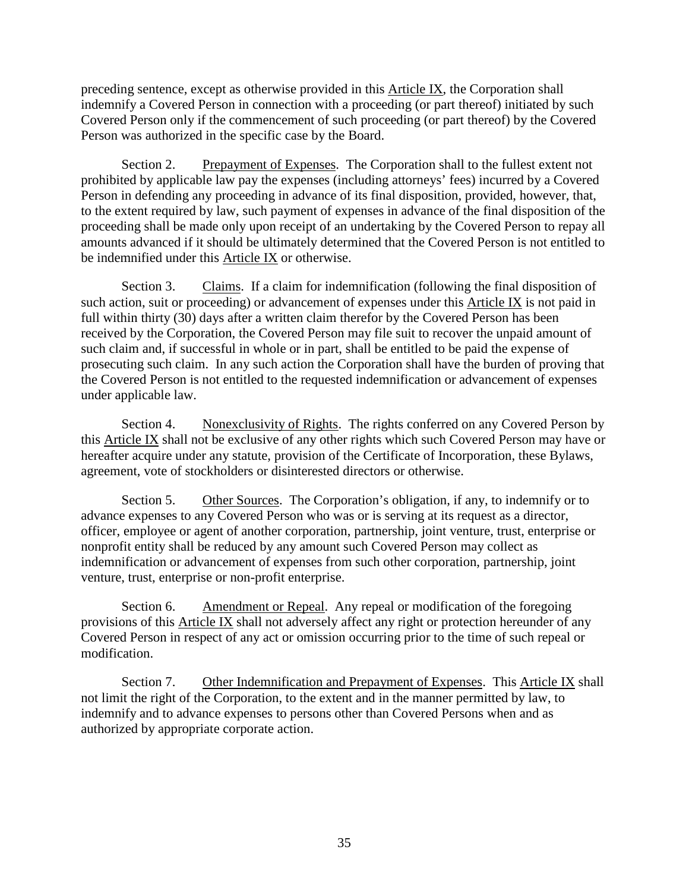preceding sentence, except as otherwise provided in this [Article IX,](#page-37-5) the Corporation shall indemnify a Covered Person in connection with a proceeding (or part thereof) initiated by such Covered Person only if the commencement of such proceeding (or part thereof) by the Covered Person was authorized in the specific case by the Board.

<span id="page-38-0"></span>Section 2. Prepayment of Expenses. The Corporation shall to the fullest extent not prohibited by applicable law pay the expenses (including attorneys' fees) incurred by a Covered Person in defending any proceeding in advance of its final disposition, provided, however, that, to the extent required by law, such payment of expenses in advance of the final disposition of the proceeding shall be made only upon receipt of an undertaking by the Covered Person to repay all amounts advanced if it should be ultimately determined that the Covered Person is not entitled to be indemnified under this [Article IX](#page-37-5) or otherwise.

<span id="page-38-1"></span>Section 3. Claims. If a claim for indemnification (following the final disposition of such action, suit or proceeding) or advancement of expenses under this [Article IX](#page-37-5) is not paid in full within thirty (30) days after a written claim therefor by the Covered Person has been received by the Corporation, the Covered Person may file suit to recover the unpaid amount of such claim and, if successful in whole or in part, shall be entitled to be paid the expense of prosecuting such claim. In any such action the Corporation shall have the burden of proving that the Covered Person is not entitled to the requested indemnification or advancement of expenses under applicable law.

<span id="page-38-2"></span>Section 4. Nonexclusivity of Rights. The rights conferred on any Covered Person by this [Article IX](#page-37-5) shall not be exclusive of any other rights which such Covered Person may have or hereafter acquire under any statute, provision of the Certificate of Incorporation, these Bylaws, agreement, vote of stockholders or disinterested directors or otherwise.

<span id="page-38-3"></span>Section 5. Other Sources. The Corporation's obligation, if any, to indemnify or to advance expenses to any Covered Person who was or is serving at its request as a director, officer, employee or agent of another corporation, partnership, joint venture, trust, enterprise or nonprofit entity shall be reduced by any amount such Covered Person may collect as indemnification or advancement of expenses from such other corporation, partnership, joint venture, trust, enterprise or non-profit enterprise.

<span id="page-38-4"></span>Section 6. Amendment or Repeal. Any repeal or modification of the foregoing provisions of this [Article IX](#page-37-5) shall not adversely affect any right or protection hereunder of any Covered Person in respect of any act or omission occurring prior to the time of such repeal or modification.

<span id="page-38-5"></span>Section 7. Other Indemnification and Prepayment of Expenses. This [Article IX](#page-37-5) shall not limit the right of the Corporation, to the extent and in the manner permitted by law, to indemnify and to advance expenses to persons other than Covered Persons when and as authorized by appropriate corporate action.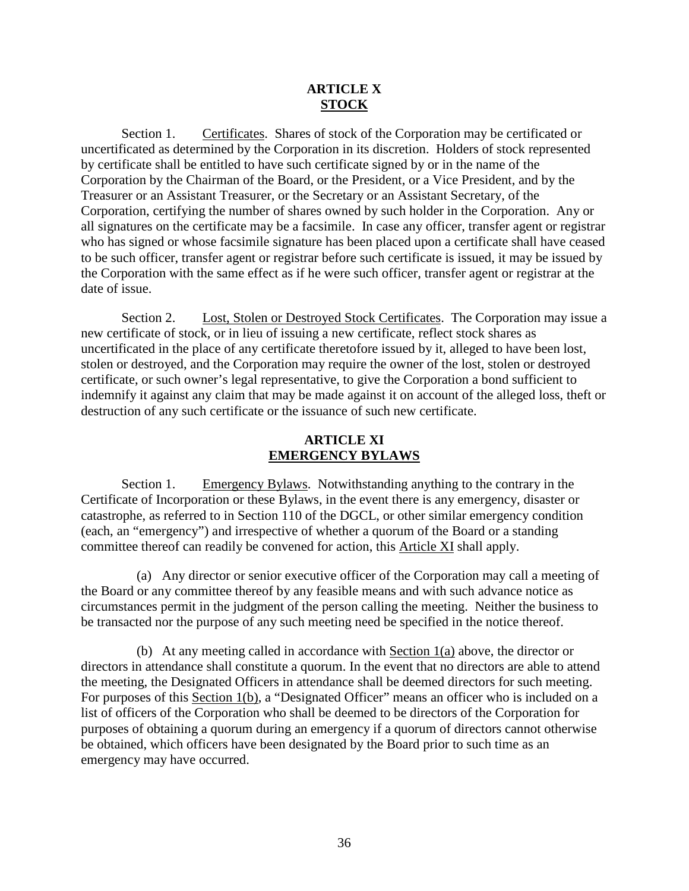## **ARTICLE X STOCK**

<span id="page-39-1"></span><span id="page-39-0"></span>Section 1. Certificates. Shares of stock of the Corporation may be certificated or uncertificated as determined by the Corporation in its discretion. Holders of stock represented by certificate shall be entitled to have such certificate signed by or in the name of the Corporation by the Chairman of the Board, or the President, or a Vice President, and by the Treasurer or an Assistant Treasurer, or the Secretary or an Assistant Secretary, of the Corporation, certifying the number of shares owned by such holder in the Corporation. Any or all signatures on the certificate may be a facsimile. In case any officer, transfer agent or registrar who has signed or whose facsimile signature has been placed upon a certificate shall have ceased to be such officer, transfer agent or registrar before such certificate is issued, it may be issued by the Corporation with the same effect as if he were such officer, transfer agent or registrar at the date of issue.

<span id="page-39-2"></span>Section 2. Lost, Stolen or Destroyed Stock Certificates. The Corporation may issue a new certificate of stock, or in lieu of issuing a new certificate, reflect stock shares as uncertificated in the place of any certificate theretofore issued by it, alleged to have been lost, stolen or destroyed, and the Corporation may require the owner of the lost, stolen or destroyed certificate, or such owner's legal representative, to give the Corporation a bond sufficient to indemnify it against any claim that may be made against it on account of the alleged loss, theft or destruction of any such certificate or the issuance of such new certificate.

# **ARTICLE XI EMERGENCY BYLAWS**

<span id="page-39-5"></span><span id="page-39-4"></span><span id="page-39-3"></span>Section 1. Emergency Bylaws. Notwithstanding anything to the contrary in the Certificate of Incorporation or these Bylaws, in the event there is any emergency, disaster or catastrophe, as referred to in Section 110 of the DGCL, or other similar emergency condition (each, an "emergency") and irrespective of whether a quorum of the Board or a standing committee thereof can readily be convened for action, this [Article XI](#page-39-5) shall apply.

(a) Any director or senior executive officer of the Corporation may call a meeting of the Board or any committee thereof by any feasible means and with such advance notice as circumstances permit in the judgment of the person calling the meeting. Neither the business to be transacted nor the purpose of any such meeting need be specified in the notice thereof.

(b) At any meeting called in accordance with Section 1(a) above, the director or directors in attendance shall constitute a quorum. In the event that no directors are able to attend the meeting, the Designated Officers in attendance shall be deemed directors for such meeting. For purposes of this Section 1(b), a "Designated Officer" means an officer who is included on a list of officers of the Corporation who shall be deemed to be directors of the Corporation for purposes of obtaining a quorum during an emergency if a quorum of directors cannot otherwise be obtained, which officers have been designated by the Board prior to such time as an emergency may have occurred.